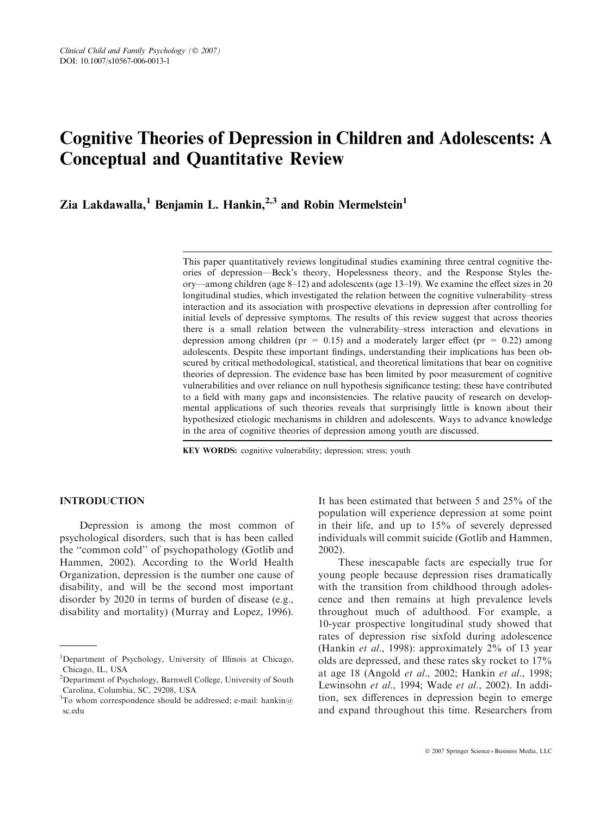# Cognitive Theories of Depression in Children and Adolescents: A Conceptual and Quantitative Review

## Zia Lakdawalla,<sup>1</sup> Benjamin L. Hankin,<sup>2,3</sup> and Robin Mermelstein<sup>1</sup>

This paper quantitatively reviews longitudinal studies examining three central cognitive theories of depression—Beck's theory, Hopelessness theory, and the Response Styles theory—among children (age 8–12) and adolescents (age 13–19). We examine the effect sizes in 20 longitudinal studies, which investigated the relation between the cognitive vulnerability–stress interaction and its association with prospective elevations in depression after controlling for initial levels of depressive symptoms. The results of this review suggest that across theories there is a small relation between the vulnerability–stress interaction and elevations in depression among children ( $pr = 0.15$ ) and a moderately larger effect ( $pr = 0.22$ ) among adolescents. Despite these important findings, understanding their implications has been obscured by critical methodological, statistical, and theoretical limitations that bear on cognitive theories of depression. The evidence base has been limited by poor measurement of cognitive vulnerabilities and over reliance on null hypothesis significance testing; these have contributed to a field with many gaps and inconsistencies. The relative paucity of research on developmental applications of such theories reveals that surprisingly little is known about their hypothesized etiologic mechanisms in children and adolescents. Ways to advance knowledge in the area of cognitive theories of depression among youth are discussed.

KEY WORDS: cognitive vulnerability; depression; stress; youth

## **INTRODUCTION**

Depression is among the most common of psychological disorders, such that is has been called the ''common cold'' of psychopathology (Gotlib and Hammen, 2002). According to the World Health Organization, depression is the number one cause of disability, and will be the second most important disorder by 2020 in terms of burden of disease (e.g., disability and mortality) (Murray and Lopez, 1996).

It has been estimated that between 5 and 25% of the population will experience depression at some point in their life, and up to 15% of severely depressed individuals will commit suicide (Gotlib and Hammen, 2002).

These inescapable facts are especially true for young people because depression rises dramatically with the transition from childhood through adolescence and then remains at high prevalence levels throughout much of adulthood. For example, a 10-year prospective longitudinal study showed that rates of depression rise sixfold during adolescence (Hankin *et al.*, 1998): approximately  $2\%$  of 13 year olds are depressed, and these rates sky rocket to 17% at age 18 (Angold et al., 2002; Hankin et al., 1998; Lewinsohn et al., 1994; Wade et al., 2002). In addition, sex differences in depression begin to emerge and expand throughout this time. Researchers from

<sup>&</sup>lt;sup>1</sup>Department of Psychology, University of Illinois at Chicago, Chicago, IL, USA

<sup>2</sup> Department of Psychology, Barnwell College, University of South Carolina, Columbia, SC, 29208, USA

 $3$ To whom correspondence should be addressed; e-mail: hankin@ sc.edu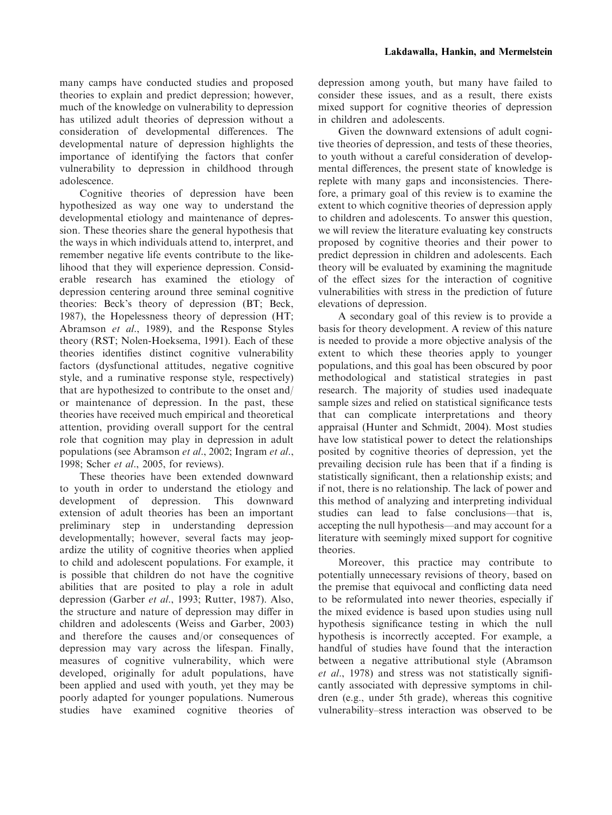many camps have conducted studies and proposed theories to explain and predict depression; however, much of the knowledge on vulnerability to depression has utilized adult theories of depression without a consideration of developmental differences. The developmental nature of depression highlights the importance of identifying the factors that confer vulnerability to depression in childhood through adolescence.

Cognitive theories of depression have been hypothesized as way one way to understand the developmental etiology and maintenance of depression. These theories share the general hypothesis that the ways in which individuals attend to, interpret, and remember negative life events contribute to the likelihood that they will experience depression. Considerable research has examined the etiology of depression centering around three seminal cognitive theories: Beck's theory of depression (BT; Beck, 1987), the Hopelessness theory of depression (HT; Abramson et al., 1989), and the Response Styles theory (RST; Nolen-Hoeksema, 1991). Each of these theories identifies distinct cognitive vulnerability factors (dysfunctional attitudes, negative cognitive style, and a ruminative response style, respectively) that are hypothesized to contribute to the onset and/ or maintenance of depression. In the past, these theories have received much empirical and theoretical attention, providing overall support for the central role that cognition may play in depression in adult populations (see Abramson et al., 2002; Ingram et al., 1998; Scher *et al.*, 2005, for reviews).

These theories have been extended downward to youth in order to understand the etiology and development of depression. This downward extension of adult theories has been an important preliminary step in understanding depression developmentally; however, several facts may jeopardize the utility of cognitive theories when applied to child and adolescent populations. For example, it is possible that children do not have the cognitive abilities that are posited to play a role in adult depression (Garber et al., 1993; Rutter, 1987). Also, the structure and nature of depression may differ in children and adolescents (Weiss and Garber, 2003) and therefore the causes and/or consequences of depression may vary across the lifespan. Finally, measures of cognitive vulnerability, which were developed, originally for adult populations, have been applied and used with youth, yet they may be poorly adapted for younger populations. Numerous studies have examined cognitive theories of depression among youth, but many have failed to consider these issues, and as a result, there exists mixed support for cognitive theories of depression in children and adolescents.

Given the downward extensions of adult cognitive theories of depression, and tests of these theories, to youth without a careful consideration of developmental differences, the present state of knowledge is replete with many gaps and inconsistencies. Therefore, a primary goal of this review is to examine the extent to which cognitive theories of depression apply to children and adolescents. To answer this question, we will review the literature evaluating key constructs proposed by cognitive theories and their power to predict depression in children and adolescents. Each theory will be evaluated by examining the magnitude of the effect sizes for the interaction of cognitive vulnerabilities with stress in the prediction of future elevations of depression.

A secondary goal of this review is to provide a basis for theory development. A review of this nature is needed to provide a more objective analysis of the extent to which these theories apply to younger populations, and this goal has been obscured by poor methodological and statistical strategies in past research. The majority of studies used inadequate sample sizes and relied on statistical significance tests that can complicate interpretations and theory appraisal (Hunter and Schmidt, 2004). Most studies have low statistical power to detect the relationships posited by cognitive theories of depression, yet the prevailing decision rule has been that if a finding is statistically significant, then a relationship exists; and if not, there is no relationship. The lack of power and this method of analyzing and interpreting individual studies can lead to false conclusions—that is, accepting the null hypothesis—and may account for a literature with seemingly mixed support for cognitive theories.

Moreover, this practice may contribute to potentially unnecessary revisions of theory, based on the premise that equivocal and conflicting data need to be reformulated into newer theories, especially if the mixed evidence is based upon studies using null hypothesis significance testing in which the null hypothesis is incorrectly accepted. For example, a handful of studies have found that the interaction between a negative attributional style (Abramson et al., 1978) and stress was not statistically significantly associated with depressive symptoms in children (e.g., under 5th grade), whereas this cognitive vulnerability–stress interaction was observed to be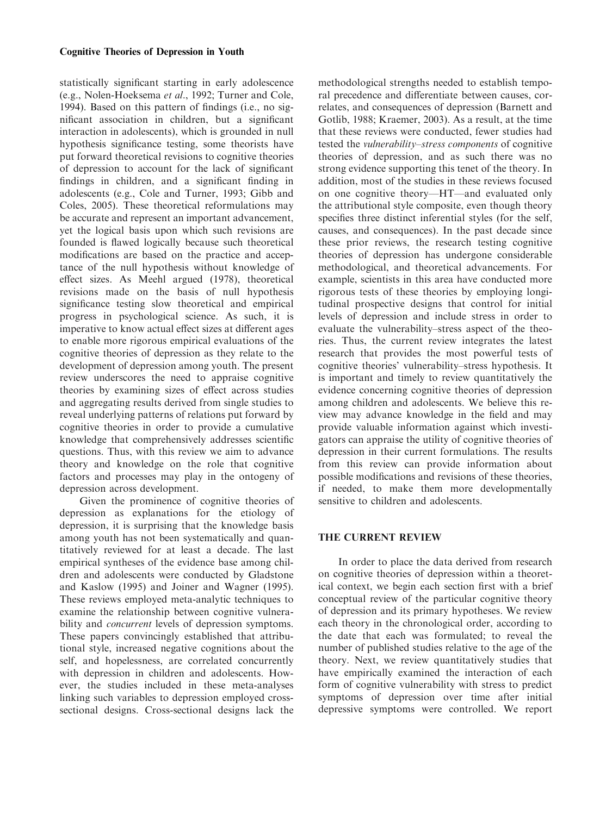statistically significant starting in early adolescence (e.g., Nolen-Hoeksema et al., 1992; Turner and Cole, 1994). Based on this pattern of findings (i.e., no significant association in children, but a significant interaction in adolescents), which is grounded in null hypothesis significance testing, some theorists have put forward theoretical revisions to cognitive theories of depression to account for the lack of significant findings in children, and a significant finding in adolescents (e.g., Cole and Turner, 1993; Gibb and Coles, 2005). These theoretical reformulations may be accurate and represent an important advancement, yet the logical basis upon which such revisions are founded is flawed logically because such theoretical modifications are based on the practice and acceptance of the null hypothesis without knowledge of effect sizes. As Meehl argued (1978), theoretical revisions made on the basis of null hypothesis significance testing slow theoretical and empirical progress in psychological science. As such, it is imperative to know actual effect sizes at different ages to enable more rigorous empirical evaluations of the cognitive theories of depression as they relate to the development of depression among youth. The present review underscores the need to appraise cognitive theories by examining sizes of effect across studies and aggregating results derived from single studies to reveal underlying patterns of relations put forward by cognitive theories in order to provide a cumulative knowledge that comprehensively addresses scientific questions. Thus, with this review we aim to advance theory and knowledge on the role that cognitive factors and processes may play in the ontogeny of depression across development.

Given the prominence of cognitive theories of depression as explanations for the etiology of depression, it is surprising that the knowledge basis among youth has not been systematically and quantitatively reviewed for at least a decade. The last empirical syntheses of the evidence base among children and adolescents were conducted by Gladstone and Kaslow (1995) and Joiner and Wagner (1995). These reviews employed meta-analytic techniques to examine the relationship between cognitive vulnerability and *concurrent* levels of depression symptoms. These papers convincingly established that attributional style, increased negative cognitions about the self, and hopelessness, are correlated concurrently with depression in children and adolescents. However, the studies included in these meta-analyses linking such variables to depression employed crosssectional designs. Cross-sectional designs lack the

methodological strengths needed to establish temporal precedence and differentiate between causes, correlates, and consequences of depression (Barnett and Gotlib, 1988; Kraemer, 2003). As a result, at the time that these reviews were conducted, fewer studies had tested the vulnerability–stress components of cognitive theories of depression, and as such there was no strong evidence supporting this tenet of the theory. In addition, most of the studies in these reviews focused on one cognitive theory—HT—and evaluated only the attributional style composite, even though theory specifies three distinct inferential styles (for the self, causes, and consequences). In the past decade since these prior reviews, the research testing cognitive theories of depression has undergone considerable methodological, and theoretical advancements. For example, scientists in this area have conducted more rigorous tests of these theories by employing longitudinal prospective designs that control for initial levels of depression and include stress in order to evaluate the vulnerability–stress aspect of the theories. Thus, the current review integrates the latest research that provides the most powerful tests of cognitive theories' vulnerability–stress hypothesis. It is important and timely to review quantitatively the evidence concerning cognitive theories of depression among children and adolescents. We believe this review may advance knowledge in the field and may provide valuable information against which investigators can appraise the utility of cognitive theories of depression in their current formulations. The results from this review can provide information about possible modifications and revisions of these theories, if needed, to make them more developmentally sensitive to children and adolescents.

## THE CURRENT REVIEW

In order to place the data derived from research on cognitive theories of depression within a theoretical context, we begin each section first with a brief conceptual review of the particular cognitive theory of depression and its primary hypotheses. We review each theory in the chronological order, according to the date that each was formulated; to reveal the number of published studies relative to the age of the theory. Next, we review quantitatively studies that have empirically examined the interaction of each form of cognitive vulnerability with stress to predict symptoms of depression over time after initial depressive symptoms were controlled. We report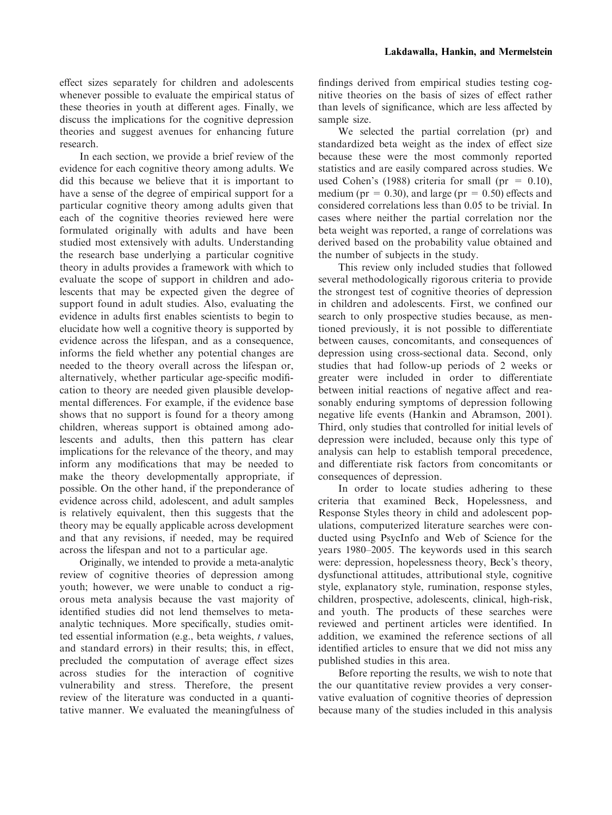effect sizes separately for children and adolescents whenever possible to evaluate the empirical status of these theories in youth at different ages. Finally, we discuss the implications for the cognitive depression theories and suggest avenues for enhancing future research.

In each section, we provide a brief review of the evidence for each cognitive theory among adults. We did this because we believe that it is important to have a sense of the degree of empirical support for a particular cognitive theory among adults given that each of the cognitive theories reviewed here were formulated originally with adults and have been studied most extensively with adults. Understanding the research base underlying a particular cognitive theory in adults provides a framework with which to evaluate the scope of support in children and adolescents that may be expected given the degree of support found in adult studies. Also, evaluating the evidence in adults first enables scientists to begin to elucidate how well a cognitive theory is supported by evidence across the lifespan, and as a consequence, informs the field whether any potential changes are needed to the theory overall across the lifespan or, alternatively, whether particular age-specific modification to theory are needed given plausible developmental differences. For example, if the evidence base shows that no support is found for a theory among children, whereas support is obtained among adolescents and adults, then this pattern has clear implications for the relevance of the theory, and may inform any modifications that may be needed to make the theory developmentally appropriate, if possible. On the other hand, if the preponderance of evidence across child, adolescent, and adult samples is relatively equivalent, then this suggests that the theory may be equally applicable across development and that any revisions, if needed, may be required across the lifespan and not to a particular age.

Originally, we intended to provide a meta-analytic review of cognitive theories of depression among youth; however, we were unable to conduct a rigorous meta analysis because the vast majority of identified studies did not lend themselves to metaanalytic techniques. More specifically, studies omitted essential information (e.g., beta weights, t values, and standard errors) in their results; this, in effect, precluded the computation of average effect sizes across studies for the interaction of cognitive vulnerability and stress. Therefore, the present review of the literature was conducted in a quantitative manner. We evaluated the meaningfulness of findings derived from empirical studies testing cognitive theories on the basis of sizes of effect rather than levels of significance, which are less affected by sample size.

We selected the partial correlation (pr) and standardized beta weight as the index of effect size because these were the most commonly reported statistics and are easily compared across studies. We used Cohen's (1988) criteria for small ( $pr = 0.10$ ), medium ( $pr = 0.30$ ), and large ( $pr = 0.50$ ) effects and considered correlations less than 0.05 to be trivial. In cases where neither the partial correlation nor the beta weight was reported, a range of correlations was derived based on the probability value obtained and the number of subjects in the study.

This review only included studies that followed several methodologically rigorous criteria to provide the strongest test of cognitive theories of depression in children and adolescents. First, we confined our search to only prospective studies because, as mentioned previously, it is not possible to differentiate between causes, concomitants, and consequences of depression using cross-sectional data. Second, only studies that had follow-up periods of 2 weeks or greater were included in order to differentiate between initial reactions of negative affect and reasonably enduring symptoms of depression following negative life events (Hankin and Abramson, 2001). Third, only studies that controlled for initial levels of depression were included, because only this type of analysis can help to establish temporal precedence, and differentiate risk factors from concomitants or consequences of depression.

In order to locate studies adhering to these criteria that examined Beck, Hopelessness, and Response Styles theory in child and adolescent populations, computerized literature searches were conducted using PsycInfo and Web of Science for the years 1980–2005. The keywords used in this search were: depression, hopelessness theory, Beck's theory, dysfunctional attitudes, attributional style, cognitive style, explanatory style, rumination, response styles, children, prospective, adolescents, clinical, high-risk, and youth. The products of these searches were reviewed and pertinent articles were identified. In addition, we examined the reference sections of all identified articles to ensure that we did not miss any published studies in this area.

Before reporting the results, we wish to note that the our quantitative review provides a very conservative evaluation of cognitive theories of depression because many of the studies included in this analysis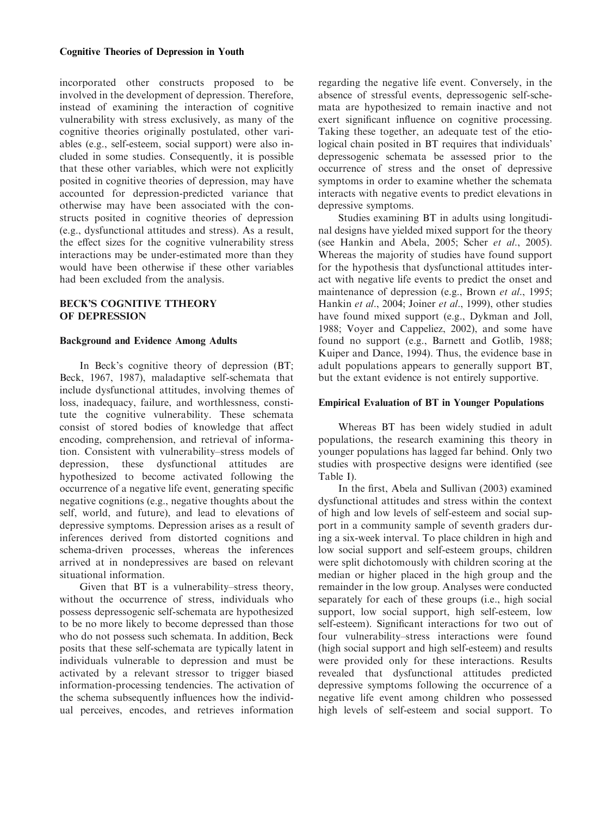incorporated other constructs proposed to be involved in the development of depression. Therefore, instead of examining the interaction of cognitive vulnerability with stress exclusively, as many of the cognitive theories originally postulated, other variables (e.g., self-esteem, social support) were also included in some studies. Consequently, it is possible that these other variables, which were not explicitly posited in cognitive theories of depression, may have accounted for depression-predicted variance that otherwise may have been associated with the constructs posited in cognitive theories of depression (e.g., dysfunctional attitudes and stress). As a result, the effect sizes for the cognitive vulnerability stress interactions may be under-estimated more than they would have been otherwise if these other variables had been excluded from the analysis.

## BECK'S COGNITIVE TTHEORY OF DEPRESSION

#### Background and Evidence Among Adults

In Beck's cognitive theory of depression (BT; Beck, 1967, 1987), maladaptive self-schemata that include dysfunctional attitudes, involving themes of loss, inadequacy, failure, and worthlessness, constitute the cognitive vulnerability. These schemata consist of stored bodies of knowledge that affect encoding, comprehension, and retrieval of information. Consistent with vulnerability–stress models of depression, these dysfunctional attitudes are hypothesized to become activated following the occurrence of a negative life event, generating specific negative cognitions (e.g., negative thoughts about the self, world, and future), and lead to elevations of depressive symptoms. Depression arises as a result of inferences derived from distorted cognitions and schema-driven processes, whereas the inferences arrived at in nondepressives are based on relevant situational information.

Given that BT is a vulnerability–stress theory, without the occurrence of stress, individuals who possess depressogenic self-schemata are hypothesized to be no more likely to become depressed than those who do not possess such schemata. In addition, Beck posits that these self-schemata are typically latent in individuals vulnerable to depression and must be activated by a relevant stressor to trigger biased information-processing tendencies. The activation of the schema subsequently influences how the individual perceives, encodes, and retrieves information

regarding the negative life event. Conversely, in the absence of stressful events, depressogenic self-schemata are hypothesized to remain inactive and not exert significant influence on cognitive processing. Taking these together, an adequate test of the etiological chain posited in BT requires that individuals' depressogenic schemata be assessed prior to the occurrence of stress and the onset of depressive symptoms in order to examine whether the schemata interacts with negative events to predict elevations in depressive symptoms.

Studies examining BT in adults using longitudinal designs have yielded mixed support for the theory (see Hankin and Abela, 2005; Scher et al., 2005). Whereas the majority of studies have found support for the hypothesis that dysfunctional attitudes interact with negative life events to predict the onset and maintenance of depression (e.g., Brown et al., 1995; Hankin et al., 2004; Joiner et al., 1999), other studies have found mixed support (e.g., Dykman and Joll, 1988; Voyer and Cappeliez, 2002), and some have found no support (e.g., Barnett and Gotlib, 1988; Kuiper and Dance, 1994). Thus, the evidence base in adult populations appears to generally support BT, but the extant evidence is not entirely supportive.

## Empirical Evaluation of BT in Younger Populations

Whereas BT has been widely studied in adult populations, the research examining this theory in younger populations has lagged far behind. Only two studies with prospective designs were identified (see Table I).

In the first, Abela and Sullivan (2003) examined dysfunctional attitudes and stress within the context of high and low levels of self-esteem and social support in a community sample of seventh graders during a six-week interval. To place children in high and low social support and self-esteem groups, children were split dichotomously with children scoring at the median or higher placed in the high group and the remainder in the low group. Analyses were conducted separately for each of these groups (i.e., high social support, low social support, high self-esteem, low self-esteem). Significant interactions for two out of four vulnerability–stress interactions were found (high social support and high self-esteem) and results were provided only for these interactions. Results revealed that dysfunctional attitudes predicted depressive symptoms following the occurrence of a negative life event among children who possessed high levels of self-esteem and social support. To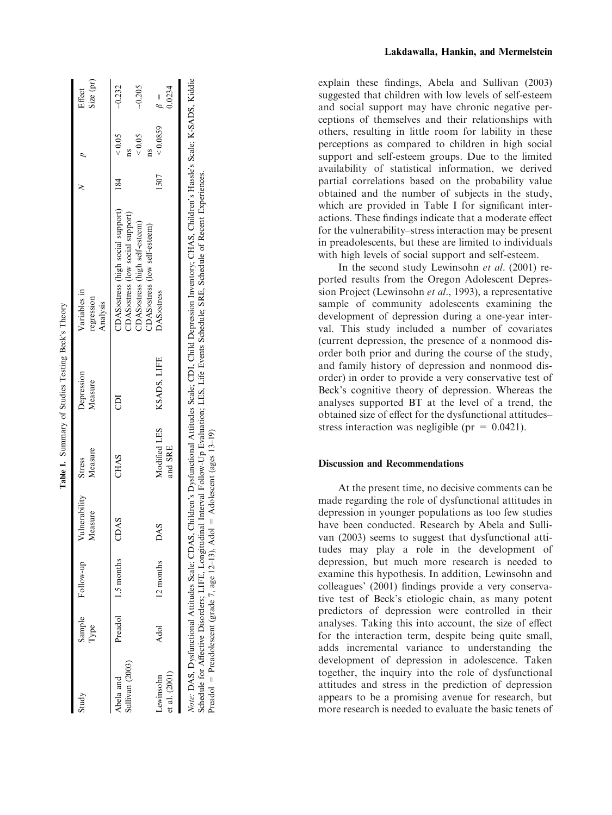| Study                        | Sample | Follow-up          | /ulnerability | Stress  |                          | Variables in                                                          |               |           | Effect        |
|------------------------------|--------|--------------------|---------------|---------|--------------------------|-----------------------------------------------------------------------|---------------|-----------|---------------|
| Type                         |        |                    | deasure       | Measure | Depression<br>Measure    | regression<br>Analysis                                                |               |           | Size $(pr)$   |
| Sullivan (2003)<br>Abela and |        | Preadol 1.5 months | CAC           | CHAS    |                          | CDAS×stress (high social support)<br>CDAS×stress (low social support) | $\frac{1}{8}$ | 0.05<br>Š | $-0.232$      |
|                              |        |                    |               |         |                          | CDAS×stress (high self-esteem)<br>CDAS×stress (low self-esteem)       |               | 0.05      | $-0.205$      |
| <b>Adol</b><br>Lewinsohn     |        | 12 months          | SVC           |         | Modified LES KSADS, LIFE | <b>DAS</b> xstress                                                    | 1507          | 0.0859    | $\frac{1}{2}$ |
| et al. (2001)                |        |                    |               | and SRE |                          |                                                                       |               |           | 0.0234        |

Note: DAS, Dysfunctional Attitudes Scale; CDAS, Children's Dysfunctional Attitudes Scale; CDI, Child Depression Inventory; CHAS, Children's Hassle's Scale; K-SADS, Kiddie Schedule for Affective Disorders; LIFE, Longitudinal Interval Follow-Up Evaluation; LES, Life Events Schedule; SRE, Schedule of Recent Experiences. Schedule for Affective Disorders; LIFE, Longitudinal Interval Follow-Up Evaluation; LES, Life Events Schedule; SRE, Schedule of Recent Experiences<br>Preadol = Preadolescent (grade 7, age 12–13), Adol = Adolescent (ages 13–19 = Preadolescent (grade 7, age 12-13), Adol = Adolescent (ages 13-19) Preadol = Preadolescent (grade 7, age 12–13), Adol = Adolescent (ages 13–19)

Lakdawalla, Hankin, and Mermelstein

explain these findings, Abela and Sullivan (2003) suggested that children with low levels of self-esteem and social support may have chronic negative perceptions of themselves and their relationships with others, resulting in little room for lability in these perceptions as compared to children in high social support and self-esteem groups. Due to the limited availability of statistical information, we derived partial correlations based on the probability value obtained and the number of subjects in the study, which are provided in Table I for significant interactions. These findings indicate that a moderate effect for the vulnerability–stress interaction may be present in preadolescents, but these are limited to individuals with high levels of social support and self-esteem.

In the second study Lewinsohn et al. (2001) reported results from the Oregon Adolescent Depression Project (Lewinsohn et al., 1993), a representative sample of community adolescents examining the development of depression during a one-year interval. This study included a number of covariates (current depression, the presence of a nonmood disorder both prior and during the course of the study, and family history of depression and nonmood disorder) in order to provide a very conservative test of Beck's cognitive theory of depression. Whereas the analyses supported BT at the level of a trend, the obtained size of effect for the dysfunctional attitudes– stress interaction was negligible ( $pr = 0.0421$ ).

## Discussion and Recommendations

At the present time, no decisive comments can be made regarding the role of dysfunctional attitudes in depression in younger populations as too few studies have been conducted. Research by Abela and Sullivan (2003) seems to suggest that dysfunctional attitudes may play a role in the development of depression, but much more research is needed to examine this hypothesis. In addition, Lewinsohn and colleagues' (2001) findings provide a very conservative test of Beck's etiologic chain, as many potent predictors of depression were controlled in their analyses. Taking this into account, the size of effect for the interaction term, despite being quite small, adds incremental variance to understanding the development of depression in adolescence. Taken together, the inquiry into the role of dysfunctional attitudes and stress in the prediction of depression appears to be a promising avenue for research, but more research is needed to evaluate the basic tenets of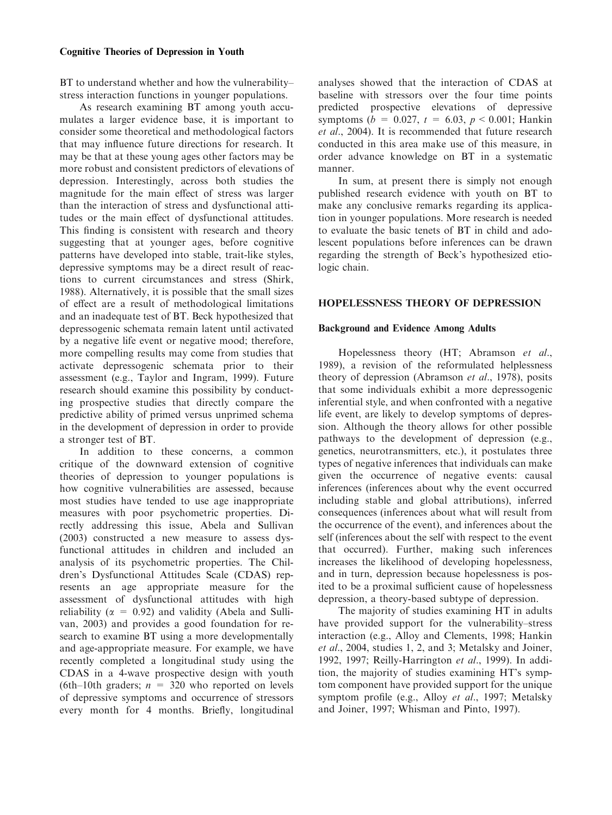BT to understand whether and how the vulnerability– stress interaction functions in younger populations.

As research examining BT among youth accumulates a larger evidence base, it is important to consider some theoretical and methodological factors that may influence future directions for research. It may be that at these young ages other factors may be more robust and consistent predictors of elevations of depression. Interestingly, across both studies the magnitude for the main effect of stress was larger than the interaction of stress and dysfunctional attitudes or the main effect of dysfunctional attitudes. This finding is consistent with research and theory suggesting that at younger ages, before cognitive patterns have developed into stable, trait-like styles, depressive symptoms may be a direct result of reactions to current circumstances and stress (Shirk, 1988). Alternatively, it is possible that the small sizes of effect are a result of methodological limitations and an inadequate test of BT. Beck hypothesized that depressogenic schemata remain latent until activated by a negative life event or negative mood; therefore, more compelling results may come from studies that activate depressogenic schemata prior to their assessment (e.g., Taylor and Ingram, 1999). Future research should examine this possibility by conducting prospective studies that directly compare the predictive ability of primed versus unprimed schema in the development of depression in order to provide a stronger test of BT.

In addition to these concerns, a common critique of the downward extension of cognitive theories of depression to younger populations is how cognitive vulnerabilities are assessed, because most studies have tended to use age inappropriate measures with poor psychometric properties. Directly addressing this issue, Abela and Sullivan (2003) constructed a new measure to assess dysfunctional attitudes in children and included an analysis of its psychometric properties. The Children's Dysfunctional Attitudes Scale (CDAS) represents an age appropriate measure for the assessment of dysfunctional attitudes with high reliability ( $\alpha$  = 0.92) and validity (Abela and Sullivan, 2003) and provides a good foundation for research to examine BT using a more developmentally and age-appropriate measure. For example, we have recently completed a longitudinal study using the CDAS in a 4-wave prospective design with youth (6th–10th graders;  $n = 320$  who reported on levels of depressive symptoms and occurrence of stressors every month for 4 months. Briefly, longitudinal analyses showed that the interaction of CDAS at baseline with stressors over the four time points predicted prospective elevations of depressive symptoms ( $b = 0.027$ ,  $t = 6.03$ ,  $p < 0.001$ ; Hankin et al., 2004). It is recommended that future research conducted in this area make use of this measure, in order advance knowledge on BT in a systematic manner.

In sum, at present there is simply not enough published research evidence with youth on BT to make any conclusive remarks regarding its application in younger populations. More research is needed to evaluate the basic tenets of BT in child and adolescent populations before inferences can be drawn regarding the strength of Beck's hypothesized etiologic chain.

#### HOPELESSNESS THEORY OF DEPRESSION

#### Background and Evidence Among Adults

Hopelessness theory (HT; Abramson et al., 1989), a revision of the reformulated helplessness theory of depression (Abramson et al., 1978), posits that some individuals exhibit a more depressogenic inferential style, and when confronted with a negative life event, are likely to develop symptoms of depression. Although the theory allows for other possible pathways to the development of depression (e.g., genetics, neurotransmitters, etc.), it postulates three types of negative inferences that individuals can make given the occurrence of negative events: causal inferences (inferences about why the event occurred including stable and global attributions), inferred consequences (inferences about what will result from the occurrence of the event), and inferences about the self (inferences about the self with respect to the event that occurred). Further, making such inferences increases the likelihood of developing hopelessness, and in turn, depression because hopelessness is posited to be a proximal sufficient cause of hopelessness depression, a theory-based subtype of depression.

The majority of studies examining HT in adults have provided support for the vulnerability–stress interaction (e.g., Alloy and Clements, 1998; Hankin et al., 2004, studies 1, 2, and 3; Metalsky and Joiner, 1992, 1997; Reilly-Harrington et al., 1999). In addition, the majority of studies examining HT's symptom component have provided support for the unique symptom profile (e.g., Alloy et al., 1997; Metalsky and Joiner, 1997; Whisman and Pinto, 1997).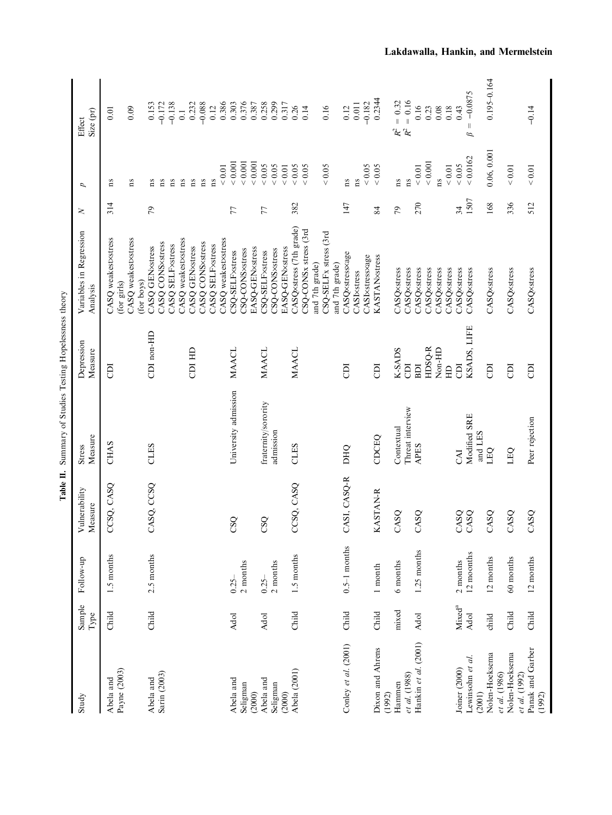|                                   |                    |                |                          | Table II. Summary of Studies Testing Hopelessness theory |                       |                                         |      |                    |                                                            |
|-----------------------------------|--------------------|----------------|--------------------------|----------------------------------------------------------|-----------------------|-----------------------------------------|------|--------------------|------------------------------------------------------------|
| Study                             | Sample<br>Type     | Follow-up      | Vulnerability<br>Measure | Measure<br>Stress                                        | Depression<br>Measure | Variables in Regression<br>Analysis     | z    | ρ                  | Size (pr)<br>Effect                                        |
| Payne (2003)<br>Abela and         | Child              | 1.5 months     | CCSQ, CASQ               | <b>CHAS</b>                                              | ā                     | CASQ weakestxstress<br>(for girls)      | 314  | ns                 | 0.01                                                       |
|                                   |                    |                |                          |                                                          |                       | CASQ weakestxstress<br>(for boys)       |      | Ξ                  | 0.09                                                       |
|                                   | Child              | 2.5 months     | CASQ, CCSQ               | CLES                                                     | CDI non-HD            | CASQ GEN×stress                         | 56   | Ξ                  | 0.153                                                      |
| Abela and<br>Sarin (2003)         |                    |                |                          |                                                          |                       | CASQ CONS×stress                        |      | ã                  | $-0.172$                                                   |
|                                   |                    |                |                          |                                                          |                       | CASQ SELF×stress                        |      | ã                  | $-0.138$                                                   |
|                                   |                    |                |                          |                                                          |                       | CASQ weakestxstress                     |      | m                  | $\overline{0}.1$                                           |
|                                   |                    |                |                          |                                                          | CDI HD                | CASQ CONS×stress<br>CASQ GEN×stress     |      | ns                 | 0.232                                                      |
|                                   |                    |                |                          |                                                          |                       | CASQ SELF×stress                        |      | ns<br>m            | $-0.088$<br>0.12                                           |
|                                   |                    |                |                          |                                                          |                       | CASQ weakestxstress                     |      | ${}_{0.01}$        | 0.386                                                      |
| Abela and                         | Adol               | $0.25 -$       | $\overline{\text{CSQ}}$  | University admission                                     | MAACL                 | CSQ-SELF×stress                         | 77   | ${}_{0.001}$       | 0.303                                                      |
| Seligman                          |                    | 2 months       |                          |                                                          |                       | CSQ-CONS×stress                         |      | ${}_{0.001}$       | 0.376                                                      |
| (2000)                            |                    |                |                          |                                                          |                       | EASQ-GEN×stress                         |      | ${}_{0.001}$       | 0.387                                                      |
| Abela and                         | Adol               | $0.25 -$       | $\overline{\text{CSQ}}$  | fraternity/sorority                                      | MAACL                 | CSQ-SELF×stress                         | 77   | 0.05               | 0.258                                                      |
| Seligman                          |                    | 2 months       |                          | admission                                                |                       | CSQ-CONS×stress                         |      | 0.05               | 0.299                                                      |
| (2000)                            |                    |                |                          |                                                          |                       | EASQ-GEN×stress                         |      | ${}_{0.01}$        | 0.317                                                      |
| Abela (2001)                      | Child              | 1.5 months     | CCSQ, CASQ               | CLES                                                     | MAACL                 | CASQ×stress (7th grade)                 | 382  | 0.05               | 0.26                                                       |
|                                   |                    |                |                          |                                                          |                       | CSQ-CONSx stress (3rd                   |      | 0.05               | 0.14                                                       |
|                                   |                    |                |                          |                                                          |                       | CSQ-SELFx stress (3rd<br>and 7th grade) |      | 0.05               | 0.16                                                       |
|                                   |                    |                |                          |                                                          |                       | and 7th grade)                          |      |                    |                                                            |
| Conley et al. (2001)              | Child              | $0.5-1$ months | CASI, CASQ-R             | DHQ                                                      | ā                     | CASQ×stress×age<br>CASI×stress          | 147  | ns                 | $0.011\,$<br>0.12                                          |
|                                   |                    |                |                          |                                                          |                       | CASIxstressxage                         |      | ${}_{<0.05}$<br>ns | $-0.182$                                                   |
| Dixon and Ahrens                  | Child              | $1$ month      | KASTAN-R                 | CDCEQ                                                    | E                     | KASTAN <sub>xstress</sub>               | 84   | 0.05               | 0.2344                                                     |
| (1992)                            |                    |                |                          |                                                          |                       |                                         |      |                    |                                                            |
| et al. (1988)<br>Hammen           | mixed              | 6 months       | CASQ                     | Threat interview<br>Contextual                           | K-SADS<br>ā           | CASQ×stress<br>CASQ×stress              | 56   | ns<br>ns           | $= 0.32$<br>$= 0.16$<br>$\mathcal{R}^2$<br>$\mathcal{R}^2$ |
| Hankin et al. (2001)              | Adol               | 1.25 months    | CASQ                     | <b>APES</b>                                              | BDI                   | CASQ×stress                             | 270  | $< 0.01$           | 0.16                                                       |
|                                   |                    |                |                          |                                                          | HDSQ-R                | CASQ×stress                             |      | ${}_{0.001}$       | 0.23                                                       |
|                                   |                    |                |                          |                                                          | Non-HD                | CASQ×stress                             |      | ns                 | $0.08\,$                                                   |
|                                   |                    |                |                          |                                                          | $\frac{1}{2}$         | CASQ×stress                             |      | ${}_{0.01}$        | 0.18                                                       |
| Joiner (2000)                     | Mixed <sup>a</sup> | 2 months       | CASQ                     | <b>EKO</b>                                               | ā                     | CASQ×stress                             | 34   | 0.05               | 0.43                                                       |
| Lewinsohn et al.<br>(2001)        | Adol               | $12$ moonths   | CASQ                     | Modified SRE<br>and LES                                  | KSADS, LIFE           | CASQ×stress                             | 1507 | < 0.0162           | $-0.0875$<br>$\parallel$<br>B                              |
| Nolen-Hoeksema<br>et al. (1986)   | child              | 12 months      | CASQ                     | LEQ                                                      | E                     | CASQ×stress                             | 168  | 0.06, 0.001        | $0.195 - 0.164$                                            |
| Nolen-Hoeksema                    | Child              | 60 months      | CASQ                     | LEQ                                                      | ā                     | CASQ×stress                             | 336  | $< 0.01$           |                                                            |
| Panak and Garber<br>et al. (1992) | Child              | 12 months      | CASQ                     | Peer rejection                                           | E                     | CASQ×stress                             | 512  | $< 0.01$           | $-0.14$                                                    |
| (1992)                            |                    |                |                          |                                                          |                       |                                         |      |                    |                                                            |

Lakdawalla, Hankin, and Mermelstein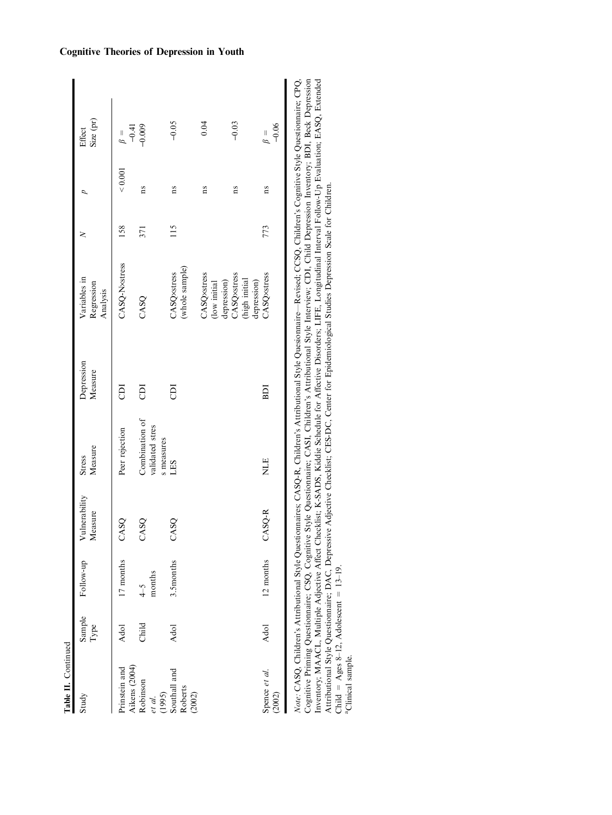| Table II. Continued               |                |                       |                          |                                                                                                                                                                                                                                |                       |                                             |     |         |                       |
|-----------------------------------|----------------|-----------------------|--------------------------|--------------------------------------------------------------------------------------------------------------------------------------------------------------------------------------------------------------------------------|-----------------------|---------------------------------------------|-----|---------|-----------------------|
| Study                             | Sample<br>Type | Follow-up             | Vulnerability<br>Measure | Measure<br>Stress                                                                                                                                                                                                              | Depression<br>Measure | Variables in<br>Regression<br>Analysis      | Μ,  |         | Size $(pr)$<br>Effect |
| Aikens (2004)<br>Prinstein and    | Adol           | 17 months             | CASQ                     | Peer rejection                                                                                                                                                                                                                 | ā                     | CASQ-N×stress                               | 158 | 0.001   | $\beta =$<br>-0.41    |
| Robinson<br>(1995)<br>et al.      | Child          | months<br>$rac{4}{5}$ | CASQ                     | Combination of<br>validated stres<br>s measures                                                                                                                                                                                | ā                     | CASQ                                        | 371 | $_{ns}$ | $-0.009$              |
| Southall and<br>Roberts<br>(2002) | Adol           | 3.5months             | CASQ                     | LES                                                                                                                                                                                                                            | ā                     | (whole sample)<br>CASQ×stress               | 115 | $_{ns}$ | $-0.05$               |
|                                   |                |                       |                          |                                                                                                                                                                                                                                |                       | CASQ×stress<br>depression)<br>(low initial  |     | $_{1S}$ | 0.04                  |
|                                   |                |                       |                          |                                                                                                                                                                                                                                |                       | CASQ×stress<br>(high initial<br>depression) |     | $_{ns}$ | $-0.03$               |
| Spence et al.<br>(2002)           | Adol           | 12 months             | CASQ-R                   | NLE                                                                                                                                                                                                                            | BDI                   | CASQ×stress                                 | 773 | ns      | $-0.06$<br>$\beta =$  |
|                                   |                |                       |                          | M. CARO Chailed and Chailed Chailed and Chailed and Chailed and Chailed and Chailed Contract Chailed Chailed and Chailed Chailed Chailed Chailed Chailed Chailed Chailed Chailed Chailed Chailed Chailed Chailed Chailed Chail |                       |                                             |     |         |                       |

*Note:* CASQ, Children's Attributional Style Questionnaires; CASQ-R, Children's Attributional Style Quesionnaire—Revised; CCSQ, Children's Cognitive Style Questionnaire; CPQ,<br>Cognitive Priming Questionnaire; CSQ, Cognitive Cognitive Priming Questionnaire; CSQ, Cognitive Style Questionnaire; CASI, Children's Attributional Style Interview; CDI, Child Depression Inventory; BDI, Beck Depression Inventory; MAACL, Multiple Adjective Affect Checklist; K-SADS, Kiddie Schedule for Affective Disorders; LIFE, Longitudinal Interval Follow-Up Evaluation; EASQ, Extended Note: CASQ, Children's Attributional Style Questionnaires; CASQ-R, Children's Attributional Style Quesionnaire—Revised; CCSQ, Children's Cognitive Style Questionnaire; CPQ, Attributional Style Questionnaire; DAC, Depressive Adjective Checklist; CES-DC, Center for Epidemiological Studies Depression Scale for Children. Child = Ages 8-12, Adolescent =  $13-19$ . Child =  $\text{Ages } 8-12$ , Adolescent = 13-19. <sup>a</sup>Clinical sample. aClinical sample.

## Cognitive Theories of Depression in Youth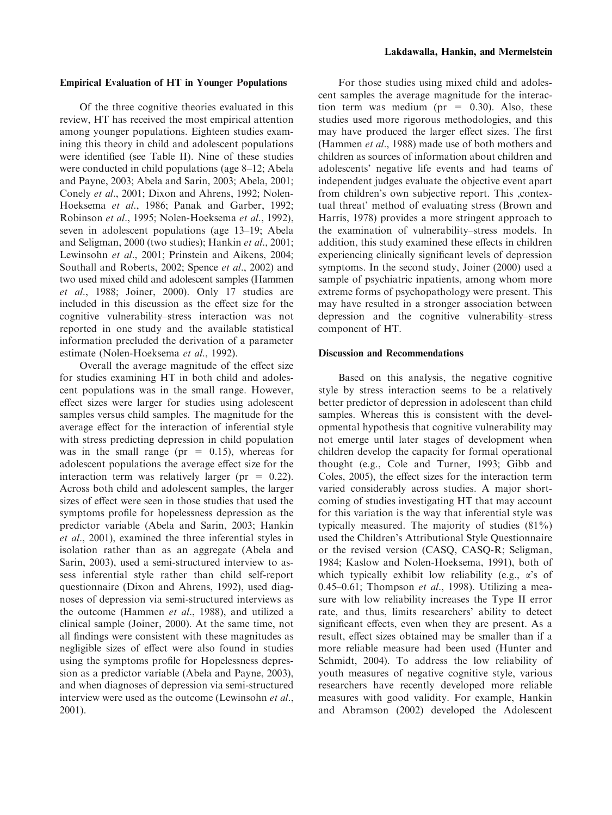#### Empirical Evaluation of HT in Younger Populations

Of the three cognitive theories evaluated in this review, HT has received the most empirical attention among younger populations. Eighteen studies examining this theory in child and adolescent populations were identified (see Table II). Nine of these studies were conducted in child populations (age 8–12; Abela and Payne, 2003; Abela and Sarin, 2003; Abela, 2001; Conely et al., 2001; Dixon and Ahrens, 1992; Nolen-Hoeksema et al., 1986; Panak and Garber, 1992; Robinson et al., 1995; Nolen-Hoeksema et al., 1992), seven in adolescent populations (age 13–19; Abela and Seligman, 2000 (two studies); Hankin et al., 2001; Lewinsohn et al., 2001; Prinstein and Aikens, 2004; Southall and Roberts, 2002; Spence et al., 2002) and two used mixed child and adolescent samples (Hammen et al., 1988; Joiner, 2000). Only 17 studies are included in this discussion as the effect size for the cognitive vulnerability–stress interaction was not reported in one study and the available statistical information precluded the derivation of a parameter estimate (Nolen-Hoeksema et al., 1992).

Overall the average magnitude of the effect size for studies examining HT in both child and adolescent populations was in the small range. However, effect sizes were larger for studies using adolescent samples versus child samples. The magnitude for the average effect for the interaction of inferential style with stress predicting depression in child population was in the small range ( $pr = 0.15$ ), whereas for adolescent populations the average effect size for the interaction term was relatively larger ( $pr = 0.22$ ). Across both child and adolescent samples, the larger sizes of effect were seen in those studies that used the symptoms profile for hopelessness depression as the predictor variable (Abela and Sarin, 2003; Hankin et al., 2001), examined the three inferential styles in isolation rather than as an aggregate (Abela and Sarin, 2003), used a semi-structured interview to assess inferential style rather than child self-report questionnaire (Dixon and Ahrens, 1992), used diagnoses of depression via semi-structured interviews as the outcome (Hammen et al., 1988), and utilized a clinical sample (Joiner, 2000). At the same time, not all findings were consistent with these magnitudes as negligible sizes of effect were also found in studies using the symptoms profile for Hopelessness depression as a predictor variable (Abela and Payne, 2003), and when diagnoses of depression via semi-structured interview were used as the outcome (Lewinsohn *et al.*, 2001).

For those studies using mixed child and adolescent samples the average magnitude for the interaction term was medium ( $pr = 0.30$ ). Also, these studies used more rigorous methodologies, and this may have produced the larger effect sizes. The first (Hammen et al., 1988) made use of both mothers and children as sources of information about children and adolescents' negative life events and had teams of independent judges evaluate the objective event apart from children's own subjective report. This ,contextual threat' method of evaluating stress (Brown and Harris, 1978) provides a more stringent approach to the examination of vulnerability–stress models. In addition, this study examined these effects in children experiencing clinically significant levels of depression symptoms. In the second study, Joiner (2000) used a sample of psychiatric inpatients, among whom more extreme forms of psychopathology were present. This may have resulted in a stronger association between depression and the cognitive vulnerability–stress component of HT.

#### Discussion and Recommendations

Based on this analysis, the negative cognitive style by stress interaction seems to be a relatively better predictor of depression in adolescent than child samples. Whereas this is consistent with the developmental hypothesis that cognitive vulnerability may not emerge until later stages of development when children develop the capacity for formal operational thought (e.g., Cole and Turner, 1993; Gibb and Coles, 2005), the effect sizes for the interaction term varied considerably across studies. A major shortcoming of studies investigating HT that may account for this variation is the way that inferential style was typically measured. The majority of studies (81%) used the Children's Attributional Style Questionnaire or the revised version (CASQ, CASQ-R; Seligman, 1984; Kaslow and Nolen-Hoeksema, 1991), both of which typically exhibit low reliability (e.g.,  $\alpha$ 's of 0.45–0.61; Thompson et al., 1998). Utilizing a measure with low reliability increases the Type II error rate, and thus, limits researchers' ability to detect significant effects, even when they are present. As a result, effect sizes obtained may be smaller than if a more reliable measure had been used (Hunter and Schmidt, 2004). To address the low reliability of youth measures of negative cognitive style, various researchers have recently developed more reliable measures with good validity. For example, Hankin and Abramson (2002) developed the Adolescent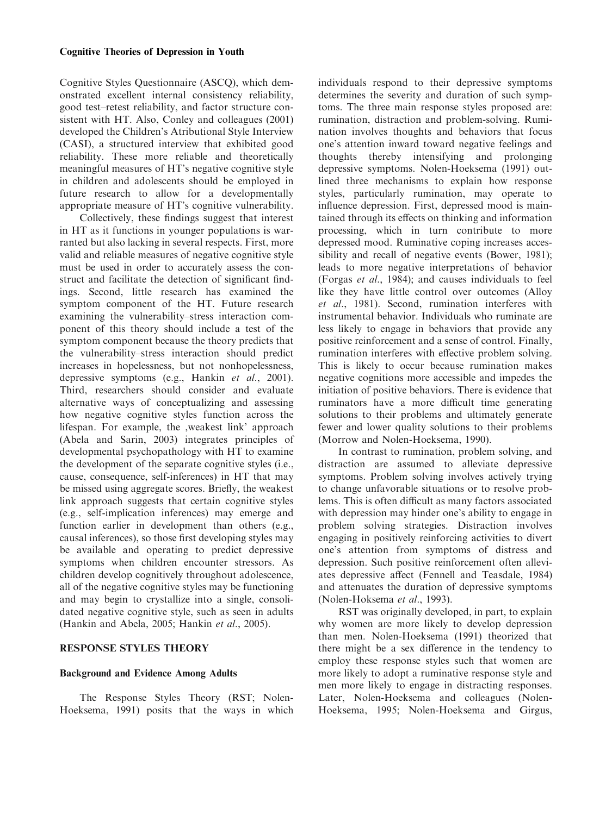Cognitive Styles Questionnaire (ASCQ), which demonstrated excellent internal consistency reliability, good test–retest reliability, and factor structure consistent with HT. Also, Conley and colleagues (2001) developed the Children's Atributional Style Interview (CASI), a structured interview that exhibited good reliability. These more reliable and theoretically meaningful measures of HT's negative cognitive style in children and adolescents should be employed in future research to allow for a developmentally appropriate measure of HT's cognitive vulnerability.

Collectively, these findings suggest that interest in HT as it functions in younger populations is warranted but also lacking in several respects. First, more valid and reliable measures of negative cognitive style must be used in order to accurately assess the construct and facilitate the detection of significant findings. Second, little research has examined the symptom component of the HT. Future research examining the vulnerability–stress interaction component of this theory should include a test of the symptom component because the theory predicts that the vulnerability–stress interaction should predict increases in hopelessness, but not nonhopelessness, depressive symptoms (e.g., Hankin et al., 2001). Third, researchers should consider and evaluate alternative ways of conceptualizing and assessing how negative cognitive styles function across the lifespan. For example, the ,weakest link' approach (Abela and Sarin, 2003) integrates principles of developmental psychopathology with HT to examine the development of the separate cognitive styles (i.e., cause, consequence, self-inferences) in HT that may be missed using aggregate scores. Briefly, the weakest link approach suggests that certain cognitive styles (e.g., self-implication inferences) may emerge and function earlier in development than others (e.g., causal inferences), so those first developing styles may be available and operating to predict depressive symptoms when children encounter stressors. As children develop cognitively throughout adolescence, all of the negative cognitive styles may be functioning and may begin to crystallize into a single, consolidated negative cognitive style, such as seen in adults (Hankin and Abela, 2005; Hankin et al., 2005).

## RESPONSE STYLES THEORY

## Background and Evidence Among Adults

The Response Styles Theory (RST; Nolen-Hoeksema, 1991) posits that the ways in which individuals respond to their depressive symptoms determines the severity and duration of such symptoms. The three main response styles proposed are: rumination, distraction and problem-solving. Rumination involves thoughts and behaviors that focus one's attention inward toward negative feelings and thoughts thereby intensifying and prolonging depressive symptoms. Nolen-Hoeksema (1991) outlined three mechanisms to explain how response styles, particularly rumination, may operate to influence depression. First, depressed mood is maintained through its effects on thinking and information processing, which in turn contribute to more depressed mood. Ruminative coping increases accessibility and recall of negative events (Bower, 1981); leads to more negative interpretations of behavior (Forgas et al., 1984); and causes individuals to feel like they have little control over outcomes (Alloy et al., 1981). Second, rumination interferes with instrumental behavior. Individuals who ruminate are less likely to engage in behaviors that provide any positive reinforcement and a sense of control. Finally, rumination interferes with effective problem solving. This is likely to occur because rumination makes negative cognitions more accessible and impedes the initiation of positive behaviors. There is evidence that ruminators have a more difficult time generating solutions to their problems and ultimately generate fewer and lower quality solutions to their problems (Morrow and Nolen-Hoeksema, 1990).

In contrast to rumination, problem solving, and distraction are assumed to alleviate depressive symptoms. Problem solving involves actively trying to change unfavorable situations or to resolve problems. This is often difficult as many factors associated with depression may hinder one's ability to engage in problem solving strategies. Distraction involves engaging in positively reinforcing activities to divert one's attention from symptoms of distress and depression. Such positive reinforcement often alleviates depressive affect (Fennell and Teasdale, 1984) and attenuates the duration of depressive symptoms (Nolen-Hoksema et al., 1993).

RST was originally developed, in part, to explain why women are more likely to develop depression than men. Nolen-Hoeksema (1991) theorized that there might be a sex difference in the tendency to employ these response styles such that women are more likely to adopt a ruminative response style and men more likely to engage in distracting responses. Later, Nolen-Hoeksema and colleagues (Nolen-Hoeksema, 1995; Nolen-Hoeksema and Girgus,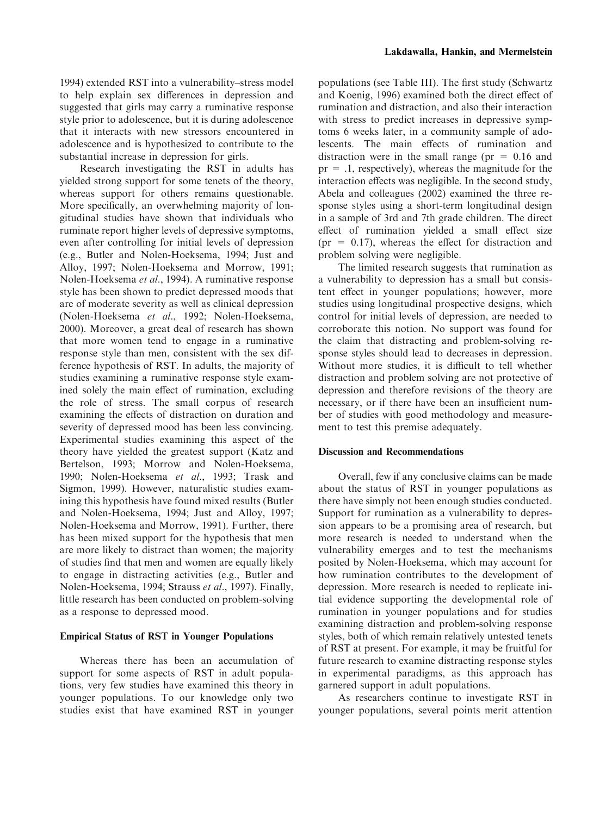1994) extended RST into a vulnerability–stress model to help explain sex differences in depression and suggested that girls may carry a ruminative response style prior to adolescence, but it is during adolescence that it interacts with new stressors encountered in adolescence and is hypothesized to contribute to the substantial increase in depression for girls.

Research investigating the RST in adults has yielded strong support for some tenets of the theory, whereas support for others remains questionable. More specifically, an overwhelming majority of longitudinal studies have shown that individuals who ruminate report higher levels of depressive symptoms, even after controlling for initial levels of depression (e.g., Butler and Nolen-Hoeksema, 1994; Just and Alloy, 1997; Nolen-Hoeksema and Morrow, 1991; Nolen-Hoeksema et al., 1994). A ruminative response style has been shown to predict depressed moods that are of moderate severity as well as clinical depression (Nolen-Hoeksema et al., 1992; Nolen-Hoeksema, 2000). Moreover, a great deal of research has shown that more women tend to engage in a ruminative response style than men, consistent with the sex difference hypothesis of RST. In adults, the majority of studies examining a ruminative response style examined solely the main effect of rumination, excluding the role of stress. The small corpus of research examining the effects of distraction on duration and severity of depressed mood has been less convincing. Experimental studies examining this aspect of the theory have yielded the greatest support (Katz and Bertelson, 1993; Morrow and Nolen-Hoeksema, 1990; Nolen-Hoeksema et al., 1993; Trask and Sigmon, 1999). However, naturalistic studies examining this hypothesis have found mixed results (Butler and Nolen-Hoeksema, 1994; Just and Alloy, 1997; Nolen-Hoeksema and Morrow, 1991). Further, there has been mixed support for the hypothesis that men are more likely to distract than women; the majority of studies find that men and women are equally likely to engage in distracting activities (e.g., Butler and Nolen-Hoeksema, 1994; Strauss et al., 1997). Finally, little research has been conducted on problem-solving as a response to depressed mood.

#### Empirical Status of RST in Younger Populations

Whereas there has been an accumulation of support for some aspects of RST in adult populations, very few studies have examined this theory in younger populations. To our knowledge only two studies exist that have examined RST in younger populations (see Table III). The first study (Schwartz and Koenig, 1996) examined both the direct effect of rumination and distraction, and also their interaction with stress to predict increases in depressive symptoms 6 weeks later, in a community sample of adolescents. The main effects of rumination and distraction were in the small range ( $pr = 0.16$  and  $pr = 0.1$ , respectively), whereas the magnitude for the interaction effects was negligible. In the second study, Abela and colleagues (2002) examined the three response styles using a short-term longitudinal design in a sample of 3rd and 7th grade children. The direct effect of rumination yielded a small effect size  $(pr = 0.17)$ , whereas the effect for distraction and problem solving were negligible.

The limited research suggests that rumination as a vulnerability to depression has a small but consistent effect in younger populations; however, more studies using longitudinal prospective designs, which control for initial levels of depression, are needed to corroborate this notion. No support was found for the claim that distracting and problem-solving response styles should lead to decreases in depression. Without more studies, it is difficult to tell whether distraction and problem solving are not protective of depression and therefore revisions of the theory are necessary, or if there have been an insufficient number of studies with good methodology and measurement to test this premise adequately.

## Discussion and Recommendations

Overall, few if any conclusive claims can be made about the status of RST in younger populations as there have simply not been enough studies conducted. Support for rumination as a vulnerability to depression appears to be a promising area of research, but more research is needed to understand when the vulnerability emerges and to test the mechanisms posited by Nolen-Hoeksema, which may account for how rumination contributes to the development of depression. More research is needed to replicate initial evidence supporting the developmental role of rumination in younger populations and for studies examining distraction and problem-solving response styles, both of which remain relatively untested tenets of RST at present. For example, it may be fruitful for future research to examine distracting response styles in experimental paradigms, as this approach has garnered support in adult populations.

As researchers continue to investigate RST in younger populations, several points merit attention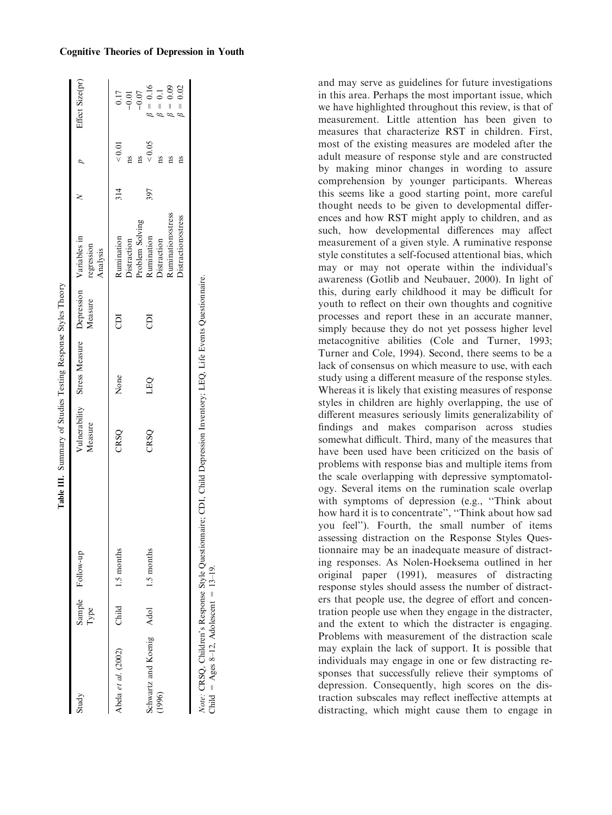|                                           |      |                  | Table III. Summary of Studies Testing Response Styles Theory                                                          |                                                      |         |                                                                      |                 |                              |                                                       |
|-------------------------------------------|------|------------------|-----------------------------------------------------------------------------------------------------------------------|------------------------------------------------------|---------|----------------------------------------------------------------------|-----------------|------------------------------|-------------------------------------------------------|
| Study                                     | Type | Sample Follow-up | Measure                                                                                                               | Vulnerability Stress Measure Depression Variables in | Measure | regression<br>Analysis                                               |                 |                              | Effect Size(pr)                                       |
| Abela et al. (2002)                       |      | Child 1.5 months | CRSQ                                                                                                                  | None                                                 | ā       | Problem Solving<br>Rumination<br>Distraction                         | $\frac{314}{5}$ | ${}_{0.01}$<br>1S            | $-0.17$<br>$-0.01$<br>$-0.07$                         |
| Schwartz and Koenig Adol<br>(1996)        |      | 1.5 months       | <b>CRSQ</b>                                                                                                           | LEO                                                  | ā       | Ruminationxstress<br>Distractionxstress<br>Rumination<br>Distraction | 397             | 0.05<br>d <sub>S</sub><br>۵S | $B = 0.16$<br>$= 0.02$<br>$x = 0.09$<br>$\cdot = 0.1$ |
| Child = Ages 8-12, Adolescent = $13-19$ . |      |                  | Note: CRSQ, Children's Response Style Questionnaire; CDI, Child Depression Inventory; LEQ, Life Events Questionnaire. |                                                      |         |                                                                      |                 |                              |                                                       |

and may serve as guidelines for future investigations in this area. Perhaps the most important issue, which we have highlighted throughout this review, is that of measurement. Little attention has been given to measures that characterize RST in children. First, most of the existing measures are modeled after the adult measure of response style and are constructed by making minor changes in wording to assure comprehension by younger participants. Whereas this seems like a good starting point, more careful thought needs to be given to developmental differences and how RST might apply to children, and as such, how developmental differences may affect measurement of a given style. A ruminative response style constitutes a self-focused attentional bias, which may or may not operate within the individual's awareness (Gotlib and Neubauer, 2000). In light of this, during early childhood it may be difficult for youth to reflect on their own thoughts and cognitive processes and report these in an accurate manner, simply because they do not yet possess higher level metacognitive abilities (Cole and Turner, 1993; Turner and Cole, 1994). Second, there seems to be a lack of consensus on which measure to use, with each study using a different measure of the response styles. Whereas it is likely that existing measures of response styles in children are highly overlapping, the use of different measures seriously limits generalizability of findings and makes comparison across studies somewhat difficult. Third, many of the measures that have been used have been criticized on the basis of problems with response bias and multiple items from the scale overlapping with depressive symptomatology. Several items on the rumination scale overlap with symptoms of depression (e.g., "Think about how hard it is to concentrate'', ''Think about how sad you feel''). Fourth, the small number of items assessing distraction on the Response Styles Questionnaire may be an inadequate measure of distracting responses. As Nolen-Hoeksema outlined in her original paper (1991), measures of distracting response styles should assess the number of distracters that people use, the degree of effort and concentration people use when they engage in the distracter, and the extent to which the distracter is engaging. Problems with measurement of the distraction scale may explain the lack of support. It is possible that individuals may engage in one or few distracting responses that successfully relieve their symptoms of depression. Consequently, high scores on the distraction subscales may reflect ineffective attempts at distracting, which might cause them to engage in

#### Cognitive Theories of Depression in Youth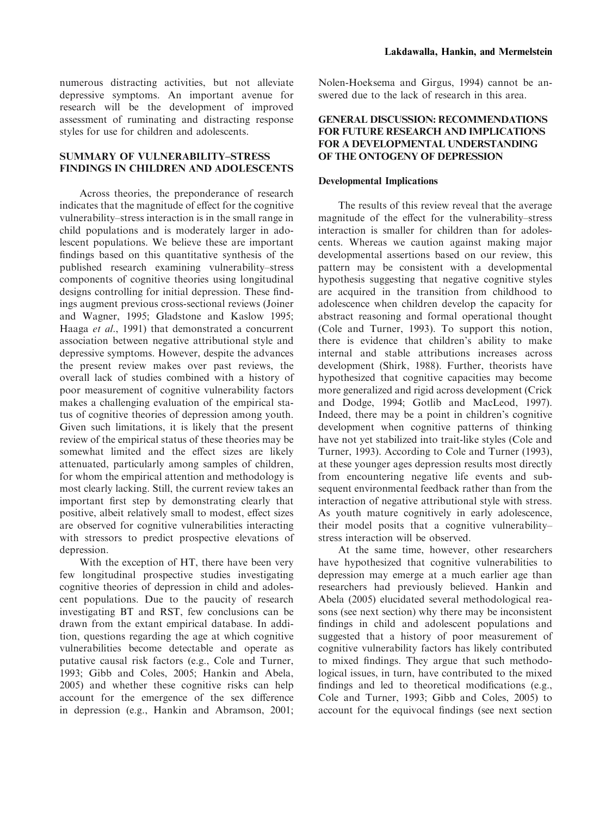numerous distracting activities, but not alleviate depressive symptoms. An important avenue for research will be the development of improved assessment of ruminating and distracting response styles for use for children and adolescents.

## SUMMARY OF VULNERABILITY–STRESS FINDINGS IN CHILDREN AND ADOLESCENTS

Across theories, the preponderance of research indicates that the magnitude of effect for the cognitive vulnerability–stress interaction is in the small range in child populations and is moderately larger in adolescent populations. We believe these are important findings based on this quantitative synthesis of the published research examining vulnerability–stress components of cognitive theories using longitudinal designs controlling for initial depression. These findings augment previous cross-sectional reviews (Joiner and Wagner, 1995; Gladstone and Kaslow 1995; Haaga et al., 1991) that demonstrated a concurrent association between negative attributional style and depressive symptoms. However, despite the advances the present review makes over past reviews, the overall lack of studies combined with a history of poor measurement of cognitive vulnerability factors makes a challenging evaluation of the empirical status of cognitive theories of depression among youth. Given such limitations, it is likely that the present review of the empirical status of these theories may be somewhat limited and the effect sizes are likely attenuated, particularly among samples of children, for whom the empirical attention and methodology is most clearly lacking. Still, the current review takes an important first step by demonstrating clearly that positive, albeit relatively small to modest, effect sizes are observed for cognitive vulnerabilities interacting with stressors to predict prospective elevations of depression.

With the exception of HT, there have been very few longitudinal prospective studies investigating cognitive theories of depression in child and adolescent populations. Due to the paucity of research investigating BT and RST, few conclusions can be drawn from the extant empirical database. In addition, questions regarding the age at which cognitive vulnerabilities become detectable and operate as putative causal risk factors (e.g., Cole and Turner, 1993; Gibb and Coles, 2005; Hankin and Abela, 2005) and whether these cognitive risks can help account for the emergence of the sex difference in depression (e.g., Hankin and Abramson, 2001;

Nolen-Hoeksema and Girgus, 1994) cannot be answered due to the lack of research in this area.

## GENERAL DISCUSSION: RECOMMENDATIONS FOR FUTURE RESEARCH AND IMPLICATIONS FOR A DEVELOPMENTAL UNDERSTANDING OF THE ONTOGENY OF DEPRESSION

## Developmental Implications

The results of this review reveal that the average magnitude of the effect for the vulnerability–stress interaction is smaller for children than for adolescents. Whereas we caution against making major developmental assertions based on our review, this pattern may be consistent with a developmental hypothesis suggesting that negative cognitive styles are acquired in the transition from childhood to adolescence when children develop the capacity for abstract reasoning and formal operational thought (Cole and Turner, 1993). To support this notion, there is evidence that children's ability to make internal and stable attributions increases across development (Shirk, 1988). Further, theorists have hypothesized that cognitive capacities may become more generalized and rigid across development (Crick and Dodge, 1994; Gotlib and MacLeod, 1997). Indeed, there may be a point in children's cognitive development when cognitive patterns of thinking have not yet stabilized into trait-like styles (Cole and Turner, 1993). According to Cole and Turner (1993), at these younger ages depression results most directly from encountering negative life events and subsequent environmental feedback rather than from the interaction of negative attributional style with stress. As youth mature cognitively in early adolescence, their model posits that a cognitive vulnerability– stress interaction will be observed.

At the same time, however, other researchers have hypothesized that cognitive vulnerabilities to depression may emerge at a much earlier age than researchers had previously believed. Hankin and Abela (2005) elucidated several methodological reasons (see next section) why there may be inconsistent findings in child and adolescent populations and suggested that a history of poor measurement of cognitive vulnerability factors has likely contributed to mixed findings. They argue that such methodological issues, in turn, have contributed to the mixed findings and led to theoretical modifications (e.g., Cole and Turner, 1993; Gibb and Coles, 2005) to account for the equivocal findings (see next section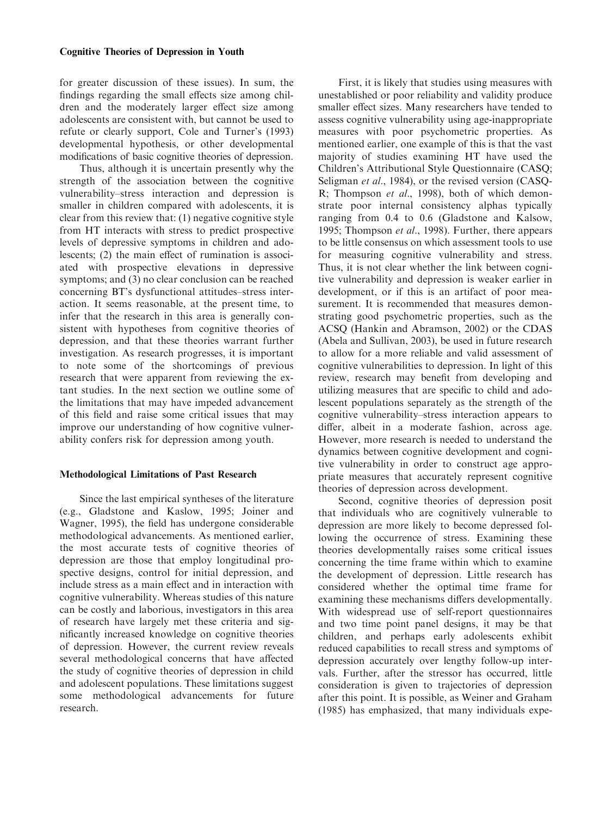for greater discussion of these issues). In sum, the findings regarding the small effects size among children and the moderately larger effect size among adolescents are consistent with, but cannot be used to refute or clearly support, Cole and Turner's (1993) developmental hypothesis, or other developmental modifications of basic cognitive theories of depression.

Thus, although it is uncertain presently why the strength of the association between the cognitive vulnerability–stress interaction and depression is smaller in children compared with adolescents, it is clear from this review that: (1) negative cognitive style from HT interacts with stress to predict prospective levels of depressive symptoms in children and adolescents; (2) the main effect of rumination is associated with prospective elevations in depressive symptoms; and (3) no clear conclusion can be reached concerning BT's dysfunctional attitudes–stress interaction. It seems reasonable, at the present time, to infer that the research in this area is generally consistent with hypotheses from cognitive theories of depression, and that these theories warrant further investigation. As research progresses, it is important to note some of the shortcomings of previous research that were apparent from reviewing the extant studies. In the next section we outline some of the limitations that may have impeded advancement of this field and raise some critical issues that may improve our understanding of how cognitive vulnerability confers risk for depression among youth.

#### Methodological Limitations of Past Research

Since the last empirical syntheses of the literature (e.g., Gladstone and Kaslow, 1995; Joiner and Wagner, 1995), the field has undergone considerable methodological advancements. As mentioned earlier, the most accurate tests of cognitive theories of depression are those that employ longitudinal prospective designs, control for initial depression, and include stress as a main effect and in interaction with cognitive vulnerability. Whereas studies of this nature can be costly and laborious, investigators in this area of research have largely met these criteria and significantly increased knowledge on cognitive theories of depression. However, the current review reveals several methodological concerns that have affected the study of cognitive theories of depression in child and adolescent populations. These limitations suggest some methodological advancements for future research.

First, it is likely that studies using measures with unestablished or poor reliability and validity produce smaller effect sizes. Many researchers have tended to assess cognitive vulnerability using age-inappropriate measures with poor psychometric properties. As mentioned earlier, one example of this is that the vast majority of studies examining HT have used the Children's Attributional Style Questionnaire (CASQ; Seligman et al., 1984), or the revised version (CASQ-R; Thompson et al., 1998), both of which demonstrate poor internal consistency alphas typically ranging from 0.4 to 0.6 (Gladstone and Kalsow, 1995; Thompson *et al.*, 1998). Further, there appears to be little consensus on which assessment tools to use for measuring cognitive vulnerability and stress. Thus, it is not clear whether the link between cognitive vulnerability and depression is weaker earlier in development, or if this is an artifact of poor measurement. It is recommended that measures demonstrating good psychometric properties, such as the ACSQ (Hankin and Abramson, 2002) or the CDAS (Abela and Sullivan, 2003), be used in future research to allow for a more reliable and valid assessment of cognitive vulnerabilities to depression. In light of this review, research may benefit from developing and utilizing measures that are specific to child and adolescent populations separately as the strength of the cognitive vulnerability–stress interaction appears to differ, albeit in a moderate fashion, across age. However, more research is needed to understand the dynamics between cognitive development and cognitive vulnerability in order to construct age appropriate measures that accurately represent cognitive theories of depression across development.

Second, cognitive theories of depression posit that individuals who are cognitively vulnerable to depression are more likely to become depressed following the occurrence of stress. Examining these theories developmentally raises some critical issues concerning the time frame within which to examine the development of depression. Little research has considered whether the optimal time frame for examining these mechanisms differs developmentally. With widespread use of self-report questionnaires and two time point panel designs, it may be that children, and perhaps early adolescents exhibit reduced capabilities to recall stress and symptoms of depression accurately over lengthy follow-up intervals. Further, after the stressor has occurred, little consideration is given to trajectories of depression after this point. It is possible, as Weiner and Graham (1985) has emphasized, that many individuals expe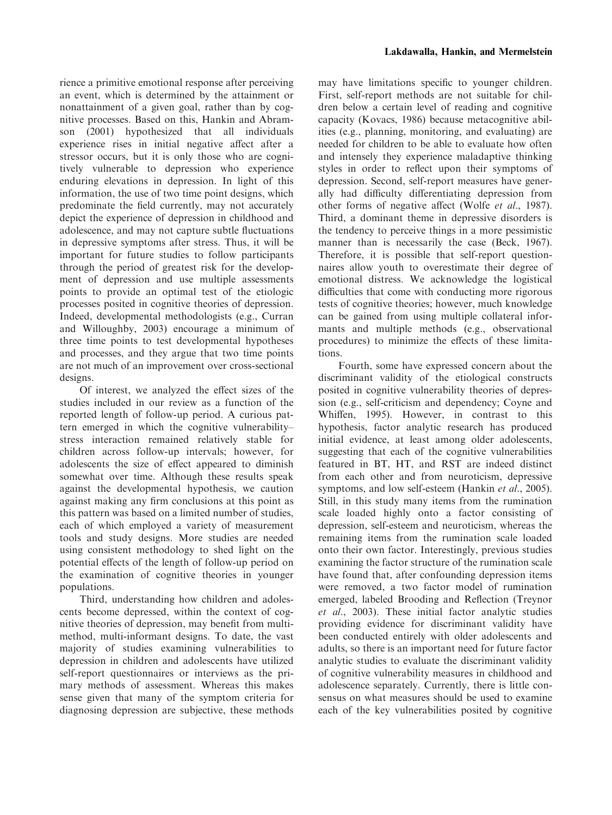rience a primitive emotional response after perceiving an event, which is determined by the attainment or nonattainment of a given goal, rather than by cognitive processes. Based on this, Hankin and Abramson (2001) hypothesized that all individuals experience rises in initial negative affect after a stressor occurs, but it is only those who are cognitively vulnerable to depression who experience enduring elevations in depression. In light of this information, the use of two time point designs, which predominate the field currently, may not accurately depict the experience of depression in childhood and adolescence, and may not capture subtle fluctuations in depressive symptoms after stress. Thus, it will be important for future studies to follow participants through the period of greatest risk for the development of depression and use multiple assessments points to provide an optimal test of the etiologic processes posited in cognitive theories of depression. Indeed, developmental methodologists (e.g., Curran and Willoughby, 2003) encourage a minimum of three time points to test developmental hypotheses and processes, and they argue that two time points are not much of an improvement over cross-sectional designs.

Of interest, we analyzed the effect sizes of the studies included in our review as a function of the reported length of follow-up period. A curious pattern emerged in which the cognitive vulnerability– stress interaction remained relatively stable for children across follow-up intervals; however, for adolescents the size of effect appeared to diminish somewhat over time. Although these results speak against the developmental hypothesis, we caution against making any firm conclusions at this point as this pattern was based on a limited number of studies, each of which employed a variety of measurement tools and study designs. More studies are needed using consistent methodology to shed light on the potential effects of the length of follow-up period on the examination of cognitive theories in younger populations.

Third, understanding how children and adolescents become depressed, within the context of cognitive theories of depression, may benefit from multimethod, multi-informant designs. To date, the vast majority of studies examining vulnerabilities to depression in children and adolescents have utilized self-report questionnaires or interviews as the primary methods of assessment. Whereas this makes sense given that many of the symptom criteria for diagnosing depression are subjective, these methods may have limitations specific to younger children. First, self-report methods are not suitable for children below a certain level of reading and cognitive capacity (Kovacs, 1986) because metacognitive abilities (e.g., planning, monitoring, and evaluating) are needed for children to be able to evaluate how often and intensely they experience maladaptive thinking styles in order to reflect upon their symptoms of depression. Second, self-report measures have generally had difficulty differentiating depression from other forms of negative affect (Wolfe et al., 1987). Third, a dominant theme in depressive disorders is the tendency to perceive things in a more pessimistic manner than is necessarily the case (Beck, 1967). Therefore, it is possible that self-report questionnaires allow youth to overestimate their degree of emotional distress. We acknowledge the logistical difficulties that come with conducting more rigorous tests of cognitive theories; however, much knowledge can be gained from using multiple collateral informants and multiple methods (e.g., observational procedures) to minimize the effects of these limitations.

Fourth, some have expressed concern about the discriminant validity of the etiological constructs posited in cognitive vulnerability theories of depression (e.g., self-criticism and dependency; Coyne and Whiffen, 1995). However, in contrast to this hypothesis, factor analytic research has produced initial evidence, at least among older adolescents, suggesting that each of the cognitive vulnerabilities featured in BT, HT, and RST are indeed distinct from each other and from neuroticism, depressive symptoms, and low self-esteem (Hankin et al., 2005). Still, in this study many items from the rumination scale loaded highly onto a factor consisting of depression, self-esteem and neuroticism, whereas the remaining items from the rumination scale loaded onto their own factor. Interestingly, previous studies examining the factor structure of the rumination scale have found that, after confounding depression items were removed, a two factor model of rumination emerged, labeled Brooding and Reflection (Treynor et al., 2003). These initial factor analytic studies providing evidence for discriminant validity have been conducted entirely with older adolescents and adults, so there is an important need for future factor analytic studies to evaluate the discriminant validity of cognitive vulnerability measures in childhood and adolescence separately. Currently, there is little consensus on what measures should be used to examine each of the key vulnerabilities posited by cognitive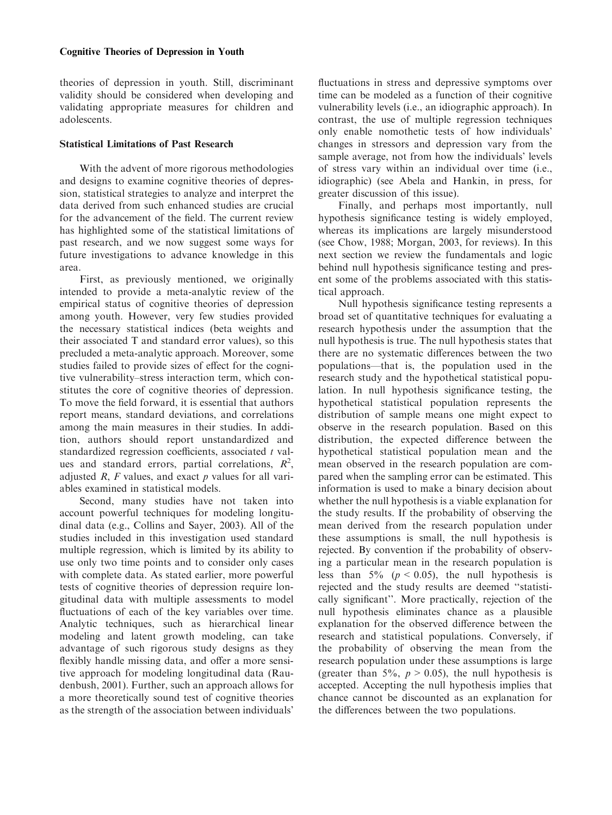theories of depression in youth. Still, discriminant validity should be considered when developing and validating appropriate measures for children and adolescents.

#### Statistical Limitations of Past Research

With the advent of more rigorous methodologies and designs to examine cognitive theories of depression, statistical strategies to analyze and interpret the data derived from such enhanced studies are crucial for the advancement of the field. The current review has highlighted some of the statistical limitations of past research, and we now suggest some ways for future investigations to advance knowledge in this area.

First, as previously mentioned, we originally intended to provide a meta-analytic review of the empirical status of cognitive theories of depression among youth. However, very few studies provided the necessary statistical indices (beta weights and their associated T and standard error values), so this precluded a meta-analytic approach. Moreover, some studies failed to provide sizes of effect for the cognitive vulnerability–stress interaction term, which constitutes the core of cognitive theories of depression. To move the field forward, it is essential that authors report means, standard deviations, and correlations among the main measures in their studies. In addition, authors should report unstandardized and standardized regression coefficients, associated  $t$  values and standard errors, partial correlations,  $R^2$ , adjusted  $R$ ,  $F$  values, and exact  $p$  values for all variables examined in statistical models.

Second, many studies have not taken into account powerful techniques for modeling longitudinal data (e.g., Collins and Sayer, 2003). All of the studies included in this investigation used standard multiple regression, which is limited by its ability to use only two time points and to consider only cases with complete data. As stated earlier, more powerful tests of cognitive theories of depression require longitudinal data with multiple assessments to model fluctuations of each of the key variables over time. Analytic techniques, such as hierarchical linear modeling and latent growth modeling, can take advantage of such rigorous study designs as they flexibly handle missing data, and offer a more sensitive approach for modeling longitudinal data (Raudenbush, 2001). Further, such an approach allows for a more theoretically sound test of cognitive theories as the strength of the association between individuals'

fluctuations in stress and depressive symptoms over time can be modeled as a function of their cognitive vulnerability levels (i.e., an idiographic approach). In contrast, the use of multiple regression techniques only enable nomothetic tests of how individuals' changes in stressors and depression vary from the sample average, not from how the individuals' levels of stress vary within an individual over time (i.e., idiographic) (see Abela and Hankin, in press, for greater discussion of this issue).

Finally, and perhaps most importantly, null hypothesis significance testing is widely employed, whereas its implications are largely misunderstood (see Chow, 1988; Morgan, 2003, for reviews). In this next section we review the fundamentals and logic behind null hypothesis significance testing and present some of the problems associated with this statistical approach.

Null hypothesis significance testing represents a broad set of quantitative techniques for evaluating a research hypothesis under the assumption that the null hypothesis is true. The null hypothesis states that there are no systematic differences between the two populations—that is, the population used in the research study and the hypothetical statistical population. In null hypothesis significance testing, the hypothetical statistical population represents the distribution of sample means one might expect to observe in the research population. Based on this distribution, the expected difference between the hypothetical statistical population mean and the mean observed in the research population are compared when the sampling error can be estimated. This information is used to make a binary decision about whether the null hypothesis is a viable explanation for the study results. If the probability of observing the mean derived from the research population under these assumptions is small, the null hypothesis is rejected. By convention if the probability of observing a particular mean in the research population is less than 5% ( $p < 0.05$ ), the null hypothesis is rejected and the study results are deemed ''statistically significant''. More practically, rejection of the null hypothesis eliminates chance as a plausible explanation for the observed difference between the research and statistical populations. Conversely, if the probability of observing the mean from the research population under these assumptions is large (greater than  $5\%$ ,  $p > 0.05$ ), the null hypothesis is accepted. Accepting the null hypothesis implies that chance cannot be discounted as an explanation for the differences between the two populations.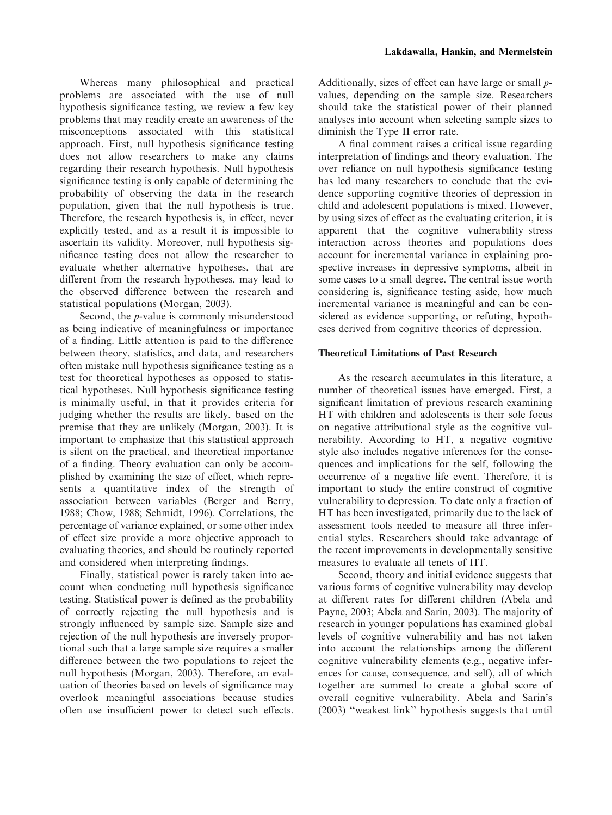Whereas many philosophical and practical problems are associated with the use of null hypothesis significance testing, we review a few key problems that may readily create an awareness of the misconceptions associated with this statistical approach. First, null hypothesis significance testing does not allow researchers to make any claims regarding their research hypothesis. Null hypothesis significance testing is only capable of determining the probability of observing the data in the research population, given that the null hypothesis is true. Therefore, the research hypothesis is, in effect, never explicitly tested, and as a result it is impossible to ascertain its validity. Moreover, null hypothesis significance testing does not allow the researcher to evaluate whether alternative hypotheses, that are different from the research hypotheses, may lead to the observed difference between the research and statistical populations (Morgan, 2003).

Second, the p-value is commonly misunderstood as being indicative of meaningfulness or importance of a finding. Little attention is paid to the difference between theory, statistics, and data, and researchers often mistake null hypothesis significance testing as a test for theoretical hypotheses as opposed to statistical hypotheses. Null hypothesis significance testing is minimally useful, in that it provides criteria for judging whether the results are likely, based on the premise that they are unlikely (Morgan, 2003). It is important to emphasize that this statistical approach is silent on the practical, and theoretical importance of a finding. Theory evaluation can only be accomplished by examining the size of effect, which represents a quantitative index of the strength of association between variables (Berger and Berry, 1988; Chow, 1988; Schmidt, 1996). Correlations, the percentage of variance explained, or some other index of effect size provide a more objective approach to evaluating theories, and should be routinely reported and considered when interpreting findings.

Finally, statistical power is rarely taken into account when conducting null hypothesis significance testing. Statistical power is defined as the probability of correctly rejecting the null hypothesis and is strongly influenced by sample size. Sample size and rejection of the null hypothesis are inversely proportional such that a large sample size requires a smaller difference between the two populations to reject the null hypothesis (Morgan, 2003). Therefore, an evaluation of theories based on levels of significance may overlook meaningful associations because studies often use insufficient power to detect such effects. Additionally, sizes of effect can have large or small pvalues, depending on the sample size. Researchers should take the statistical power of their planned analyses into account when selecting sample sizes to diminish the Type II error rate.

A final comment raises a critical issue regarding interpretation of findings and theory evaluation. The over reliance on null hypothesis significance testing has led many researchers to conclude that the evidence supporting cognitive theories of depression in child and adolescent populations is mixed. However, by using sizes of effect as the evaluating criterion, it is apparent that the cognitive vulnerability–stress interaction across theories and populations does account for incremental variance in explaining prospective increases in depressive symptoms, albeit in some cases to a small degree. The central issue worth considering is, significance testing aside, how much incremental variance is meaningful and can be considered as evidence supporting, or refuting, hypotheses derived from cognitive theories of depression.

#### Theoretical Limitations of Past Research

As the research accumulates in this literature, a number of theoretical issues have emerged. First, a significant limitation of previous research examining HT with children and adolescents is their sole focus on negative attributional style as the cognitive vulnerability. According to HT, a negative cognitive style also includes negative inferences for the consequences and implications for the self, following the occurrence of a negative life event. Therefore, it is important to study the entire construct of cognitive vulnerability to depression. To date only a fraction of HT has been investigated, primarily due to the lack of assessment tools needed to measure all three inferential styles. Researchers should take advantage of the recent improvements in developmentally sensitive measures to evaluate all tenets of HT.

Second, theory and initial evidence suggests that various forms of cognitive vulnerability may develop at different rates for different children (Abela and Payne, 2003; Abela and Sarin, 2003). The majority of research in younger populations has examined global levels of cognitive vulnerability and has not taken into account the relationships among the different cognitive vulnerability elements (e.g., negative inferences for cause, consequence, and self), all of which together are summed to create a global score of overall cognitive vulnerability. Abela and Sarin's (2003) ''weakest link'' hypothesis suggests that until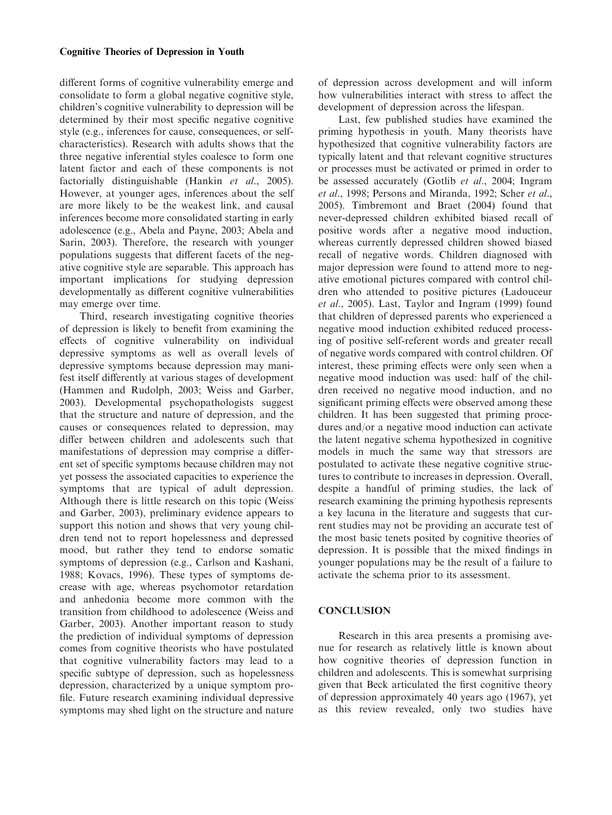different forms of cognitive vulnerability emerge and consolidate to form a global negative cognitive style, children's cognitive vulnerability to depression will be determined by their most specific negative cognitive style (e.g., inferences for cause, consequences, or selfcharacteristics). Research with adults shows that the three negative inferential styles coalesce to form one latent factor and each of these components is not factorially distinguishable (Hankin et al., 2005). However, at younger ages, inferences about the self are more likely to be the weakest link, and causal inferences become more consolidated starting in early adolescence (e.g., Abela and Payne, 2003; Abela and Sarin, 2003). Therefore, the research with younger populations suggests that different facets of the negative cognitive style are separable. This approach has important implications for studying depression developmentally as different cognitive vulnerabilities may emerge over time.

Third, research investigating cognitive theories of depression is likely to benefit from examining the effects of cognitive vulnerability on individual depressive symptoms as well as overall levels of depressive symptoms because depression may manifest itself differently at various stages of development (Hammen and Rudolph, 2003; Weiss and Garber, 2003). Developmental psychopathologists suggest that the structure and nature of depression, and the causes or consequences related to depression, may differ between children and adolescents such that manifestations of depression may comprise a different set of specific symptoms because children may not yet possess the associated capacities to experience the symptoms that are typical of adult depression. Although there is little research on this topic (Weiss and Garber, 2003), preliminary evidence appears to support this notion and shows that very young children tend not to report hopelessness and depressed mood, but rather they tend to endorse somatic symptoms of depression (e.g., Carlson and Kashani, 1988; Kovacs, 1996). These types of symptoms decrease with age, whereas psychomotor retardation and anhedonia become more common with the transition from childhood to adolescence (Weiss and Garber, 2003). Another important reason to study the prediction of individual symptoms of depression comes from cognitive theorists who have postulated that cognitive vulnerability factors may lead to a specific subtype of depression, such as hopelessness depression, characterized by a unique symptom profile. Future research examining individual depressive symptoms may shed light on the structure and nature of depression across development and will inform how vulnerabilities interact with stress to affect the development of depression across the lifespan.

Last, few published studies have examined the priming hypothesis in youth. Many theorists have hypothesized that cognitive vulnerability factors are typically latent and that relevant cognitive structures or processes must be activated or primed in order to be assessed accurately (Gotlib et al., 2004; Ingram et al., 1998; Persons and Miranda, 1992; Scher et al., 2005). Timbremont and Braet (2004) found that never-depressed children exhibited biased recall of positive words after a negative mood induction, whereas currently depressed children showed biased recall of negative words. Children diagnosed with major depression were found to attend more to negative emotional pictures compared with control children who attended to positive pictures (Ladouceur et al., 2005). Last, Taylor and Ingram (1999) found that children of depressed parents who experienced a negative mood induction exhibited reduced processing of positive self-referent words and greater recall of negative words compared with control children. Of interest, these priming effects were only seen when a negative mood induction was used: half of the children received no negative mood induction, and no significant priming effects were observed among these children. It has been suggested that priming procedures and/or a negative mood induction can activate the latent negative schema hypothesized in cognitive models in much the same way that stressors are postulated to activate these negative cognitive structures to contribute to increases in depression. Overall, despite a handful of priming studies, the lack of research examining the priming hypothesis represents a key lacuna in the literature and suggests that current studies may not be providing an accurate test of the most basic tenets posited by cognitive theories of depression. It is possible that the mixed findings in younger populations may be the result of a failure to activate the schema prior to its assessment.

#### **CONCLUSION**

Research in this area presents a promising avenue for research as relatively little is known about how cognitive theories of depression function in children and adolescents. This is somewhat surprising given that Beck articulated the first cognitive theory of depression approximately 40 years ago (1967), yet as this review revealed, only two studies have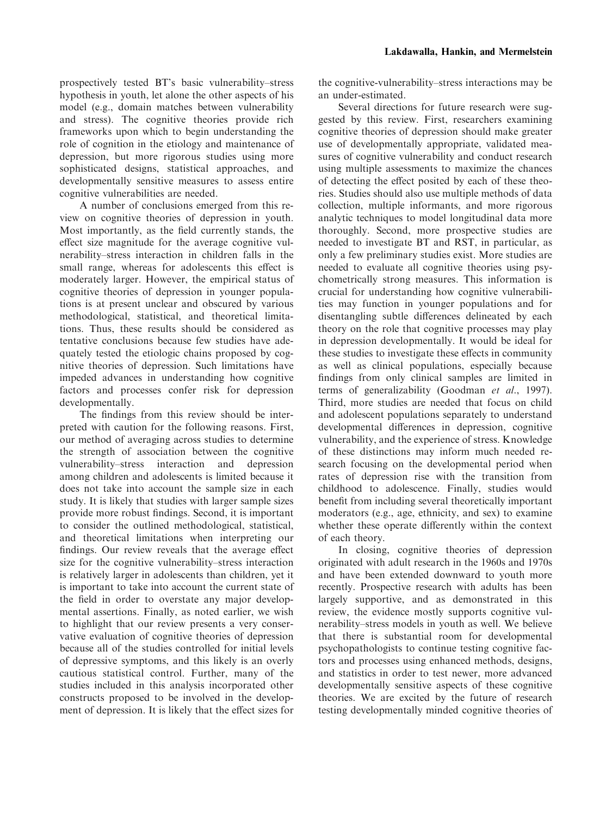prospectively tested BT's basic vulnerability–stress hypothesis in youth, let alone the other aspects of his model (e.g., domain matches between vulnerability and stress). The cognitive theories provide rich frameworks upon which to begin understanding the role of cognition in the etiology and maintenance of depression, but more rigorous studies using more sophisticated designs, statistical approaches, and developmentally sensitive measures to assess entire cognitive vulnerabilities are needed.

A number of conclusions emerged from this review on cognitive theories of depression in youth. Most importantly, as the field currently stands, the effect size magnitude for the average cognitive vulnerability–stress interaction in children falls in the small range, whereas for adolescents this effect is moderately larger. However, the empirical status of cognitive theories of depression in younger populations is at present unclear and obscured by various methodological, statistical, and theoretical limitations. Thus, these results should be considered as tentative conclusions because few studies have adequately tested the etiologic chains proposed by cognitive theories of depression. Such limitations have impeded advances in understanding how cognitive factors and processes confer risk for depression developmentally.

The findings from this review should be interpreted with caution for the following reasons. First, our method of averaging across studies to determine the strength of association between the cognitive vulnerability–stress interaction and depression among children and adolescents is limited because it does not take into account the sample size in each study. It is likely that studies with larger sample sizes provide more robust findings. Second, it is important to consider the outlined methodological, statistical, and theoretical limitations when interpreting our findings. Our review reveals that the average effect size for the cognitive vulnerability–stress interaction is relatively larger in adolescents than children, yet it is important to take into account the current state of the field in order to overstate any major developmental assertions. Finally, as noted earlier, we wish to highlight that our review presents a very conservative evaluation of cognitive theories of depression because all of the studies controlled for initial levels of depressive symptoms, and this likely is an overly cautious statistical control. Further, many of the studies included in this analysis incorporated other constructs proposed to be involved in the development of depression. It is likely that the effect sizes for the cognitive-vulnerability–stress interactions may be an under-estimated.

Several directions for future research were suggested by this review. First, researchers examining cognitive theories of depression should make greater use of developmentally appropriate, validated measures of cognitive vulnerability and conduct research using multiple assessments to maximize the chances of detecting the effect posited by each of these theories. Studies should also use multiple methods of data collection, multiple informants, and more rigorous analytic techniques to model longitudinal data more thoroughly. Second, more prospective studies are needed to investigate BT and RST, in particular, as only a few preliminary studies exist. More studies are needed to evaluate all cognitive theories using psychometrically strong measures. This information is crucial for understanding how cognitive vulnerabilities may function in younger populations and for disentangling subtle differences delineated by each theory on the role that cognitive processes may play in depression developmentally. It would be ideal for these studies to investigate these effects in community as well as clinical populations, especially because findings from only clinical samples are limited in terms of generalizability (Goodman et al., 1997). Third, more studies are needed that focus on child and adolescent populations separately to understand developmental differences in depression, cognitive vulnerability, and the experience of stress. Knowledge of these distinctions may inform much needed research focusing on the developmental period when rates of depression rise with the transition from childhood to adolescence. Finally, studies would benefit from including several theoretically important moderators (e.g., age, ethnicity, and sex) to examine whether these operate differently within the context of each theory.

In closing, cognitive theories of depression originated with adult research in the 1960s and 1970s and have been extended downward to youth more recently. Prospective research with adults has been largely supportive, and as demonstrated in this review, the evidence mostly supports cognitive vulnerability–stress models in youth as well. We believe that there is substantial room for developmental psychopathologists to continue testing cognitive factors and processes using enhanced methods, designs, and statistics in order to test newer, more advanced developmentally sensitive aspects of these cognitive theories. We are excited by the future of research testing developmentally minded cognitive theories of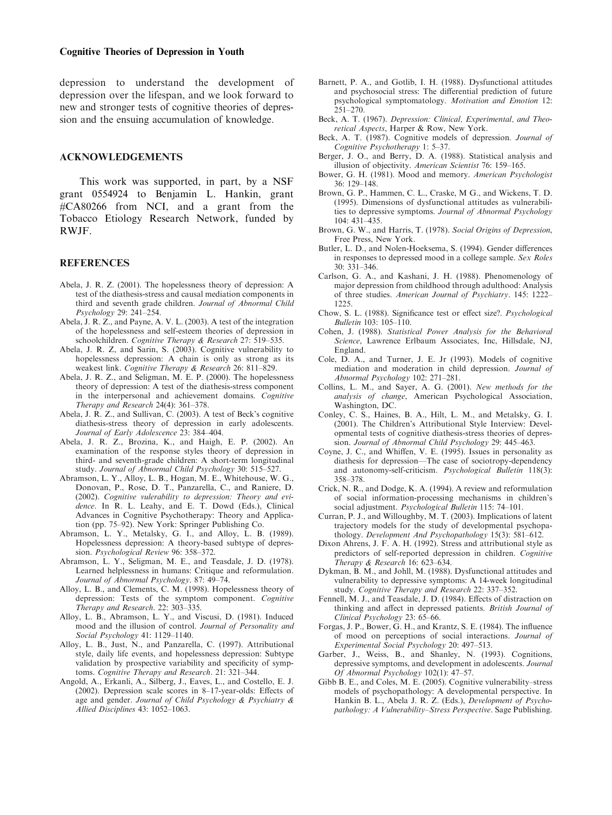depression to understand the development of depression over the lifespan, and we look forward to new and stronger tests of cognitive theories of depression and the ensuing accumulation of knowledge.

#### ACKNOWLEDGEMENTS

This work was supported, in part, by a NSF grant 0554924 to Benjamin L. Hankin, grant #CA80266 from NCI, and a grant from the Tobacco Etiology Research Network, funded by RWJF.

#### REFERENCES

- Abela, J. R. Z. (2001). The hopelessness theory of depression: A test of the diathesis-stress and causal mediation components in third and seventh grade children. Journal of Abnormal Child Psychology 29: 241–254.
- Abela, J. R. Z., and Payne, A. V. L. (2003). A test of the integration of the hopelessness and self-esteem theories of depression in schoolchildren. Cognitive Therapy & Research 27: 519-535.
- Abela, J. R. Z, and Sarin, S. (2003). Cognitive vulnerability to hopelessness depression: A chain is only as strong as its weakest link. Cognitive Therapy & Research 26: 811-829.
- Abela, J. R. Z., and Seligman, M. E. P. (2000). The hopelessness theory of depression: A test of the diathesis-stress component in the interpersonal and achievement domains. Cognitive Therapy and Research 24(4): 361–378.
- Abela, J. R. Z., and Sullivan, C. (2003). A test of Beck's cognitive diathesis-stress theory of depression in early adolescents. Journal of Early Adolescence 23: 384–404.
- Abela, J. R. Z., Brozina, K., and Haigh, E. P. (2002). An examination of the response styles theory of depression in third- and seventh-grade children: A short-term longitudinal study. Journal of Abnormal Child Psychology 30: 515–527.
- Abramson, L. Y., Alloy, L. B., Hogan, M. E., Whitehouse, W. G., Donovan, P., Rose, D. T., Panzarella, C., and Raniere, D. (2002). Cognitive vulerability to depression: Theory and evidence. In R. L. Leahy, and E. T. Dowd (Eds.), Clinical Advances in Cognitive Psychotherapy: Theory and Application (pp. 75–92). New York: Springer Publishing Co.
- Abramson, L. Y., Metalsky, G. I., and Alloy, L. B. (1989). Hopelessness depression: A theory-based subtype of depression. Psychological Review 96: 358–372.
- Abramson, L. Y., Seligman, M. E., and Teasdale, J. D. (1978). Learned helplessness in humans: Critique and reformulation. Journal of Abnormal Psychology. 87: 49–74.
- Alloy, L. B., and Clements, C. M. (1998). Hopelessness theory of depression: Tests of the symptom component. Cognitive Therapy and Research. 22: 303–335.
- Alloy, L. B., Abramson, L. Y., and Viscusi, D. (1981). Induced mood and the illusion of control. Journal of Personality and Social Psychology 41: 1129–1140.
- Alloy, L. B., Just, N., and Panzarella, C. (1997). Attributional style, daily life events, and hopelessness depression: Subtype validation by prospective variability and specificity of symptoms. Cognitive Therapy and Research. 21: 321–344.
- Angold, A., Erkanli, A., Silberg, J., Eaves, L., and Costello, E. J. (2002). Depression scale scores in 8–17-year-olds: Effects of age and gender. Journal of Child Psychology & Psychiatry & Allied Disciplines 43: 1052–1063.
- Barnett, P. A., and Gotlib, I. H. (1988). Dysfunctional attitudes and psychosocial stress: The differential prediction of future psychological symptomatology. Motivation and Emotion 12: 251–270.
- Beck, A. T. (1967). Depression: Clinical, Experimental, and Theoretical Aspects, Harper & Row, New York.
- Beck, A. T. (1987). Cognitive models of depression. Journal of Cognitive Psychotherapy 1: 5–37.
- Berger, J. O., and Berry, D. A. (1988). Statistical analysis and illusion of objectivity. American Scientist 76: 159–165.
- Bower, G. H. (1981). Mood and memory. American Psychologist 36: 129–148.
- Brown, G. P., Hammen, C. L., Craske, M G., and Wickens, T. D. (1995). Dimensions of dysfunctional attitudes as vulnerabilities to depressive symptoms. Journal of Abnormal Psychology 104: 431–435.
- Brown, G. W., and Harris, T. (1978). Social Origins of Depression, Free Press, New York.
- Butler, L. D., and Nolen-Hoeksema, S. (1994). Gender differences in responses to depressed mood in a college sample. Sex Roles 30: 331–346.
- Carlson, G. A., and Kashani, J. H. (1988). Phenomenology of major depression from childhood through adulthood: Analysis of three studies. American Journal of Psychiatry. 145: 1222– 1225.
- Chow, S. L. (1988). Significance test or effect size?. Psychological Bulletin 103: 105–110.
- Cohen, J. (1988). Statistical Power Analysis for the Behavioral Science, Lawrence Erlbaum Associates, Inc, Hillsdale, NJ, England.
- Cole, D. A., and Turner, J. E. Jr (1993). Models of cognitive mediation and moderation in child depression. Journal of Abnormal Psychology 102: 271–281.
- Collins, L. M., and Sayer, A. G. (2001). New methods for the analysis of change, American Psychological Association, Washington, DC.
- Conley, C. S., Haines, B. A., Hilt, L. M., and Metalsky, G. I. (2001). The Children's Attributional Style Interview: Developmental tests of cognitive diathesis-stress theories of depression. Journal of Abnormal Child Psychology 29: 445–463.
- Coyne, J. C., and Whiffen, V. E. (1995). Issues in personality as diathesis for depression—The case of sociotropy-dependency and autonomy-self-criticism. Psychological Bulletin 118(3): 358–378.
- Crick, N. R., and Dodge, K. A. (1994). A review and reformulation of social information-processing mechanisms in children's social adjustment. Psychological Bulletin 115: 74–101.
- Curran, P. J., and Willoughby, M. T. (2003). Implications of latent trajectory models for the study of developmental psychopathology. Development And Psychopathology 15(3): 581–612.
- Dixon Ahrens, J. F. A. H. (1992). Stress and attributional style as predictors of self-reported depression in children. Cognitive Therapy & Research 16: 623–634.
- Dykman, B. M., and Johll, M. (1988). Dysfunctional attitudes and vulnerability to depressive symptoms: A 14-week longitudinal study. Cognitive Therapy and Research 22: 337–352.
- Fennell, M. J., and Teasdale, J. D. (1984). Effects of distraction on thinking and affect in depressed patients. British Journal of Clinical Psychology 23: 65–66.
- Forgas, J. P., Bower, G. H., and Krantz, S. E. (1984). The influence of mood on perceptions of social interactions. Journal of Experimental Social Psychology 20: 497–513.
- Garber, J., Weiss, B., and Shanley, N. (1993). Cognitions, depressive symptoms, and development in adolescents. Journal Of Abnormal Psychology 102(1): 47–57.
- Gibb B. E., and Coles, M. E. (2005). Cognitive vulnerability–stress models of psychopathology: A developmental perspective. In Hankin B. L., Abela J. R. Z. (Eds.), Development of Psychopathology: A Vulnerability–Stress Perspective. Sage Publishing.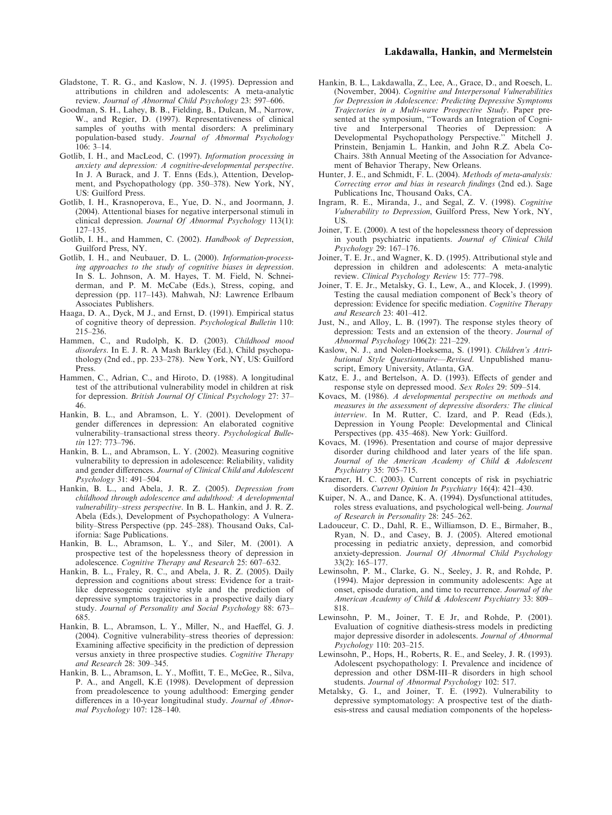- Gladstone, T. R. G., and Kaslow, N. J. (1995). Depression and attributions in children and adolescents: A meta-analytic review. Journal of Abnormal Child Psychology 23: 597–606.
- Goodman, S. H., Lahey, B. B., Fielding, B., Dulcan, M., Narrow, W., and Regier, D. (1997). Representativeness of clinical samples of youths with mental disorders: A preliminary population-based study. Journal of Abnormal Psychology 106: 3–14.
- Gotlib, I. H., and MacLeod, C. (1997). Information processing in anxiety and depression: A cognitive-developmental perspective. In J. A Burack, and J. T. Enns (Eds.), Attention, Development, and Psychopathology (pp. 350–378). New York, NY, US: Guilford Press.
- Gotlib, I. H., Krasnoperova, E., Yue, D. N., and Joormann, J. (2004). Attentional biases for negative interpersonal stimuli in clinical depression. Journal Of Abnormal Psychology 113(1): 127–135.
- Gotlib, I. H., and Hammen, C. (2002). Handbook of Depression, Guilford Press, NY.
- Gotlib, I. H., and Neubauer, D. L. (2000). Information-processing approaches to the study of cognitive biases in depression. In S. L. Johnson, A. M. Hayes, T. M. Field, N. Schneiderman, and P. M. McCabe (Eds.), Stress, coping, and depression (pp. 117–143). Mahwah, NJ: Lawrence Erlbaum Associates Publishers.
- Haaga, D. A., Dyck, M J., and Ernst, D. (1991). Empirical status of cognitive theory of depression. Psychological Bulletin 110: 215–236.
- Hammen, C., and Rudolph, K. D. (2003). Childhood mood disorders. In E. J. R. A Mash Barkley (Ed.), Child psychopathology (2nd ed., pp. 233–278). New York, NY, US: Guilford Press.
- Hammen, C., Adrian, C., and Hiroto, D. (1988). A longitudinal test of the attributional vulnerability model in children at risk for depression. British Journal Of Clinical Psychology 27: 37-46.
- Hankin, B. L., and Abramson, L. Y. (2001). Development of gender differences in depression: An elaborated cognitive vulnerability–transactional stress theory. Psychological Bulletin 127: 773–796.
- Hankin, B. L., and Abramson, L. Y. (2002). Measuring cognitive vulnerability to depression in adolescence: Reliability, validity and gender differences. Journal of Clinical Child and Adolescent Psychology 31: 491–504.
- Hankin, B. L., and Abela, J. R. Z. (2005). Depression from childhood through adolescence and adulthood: A developmental vulnerability–stress perspective. In B. L. Hankin, and J. R. Z. Abela (Eds.), Development of Psychopathology: A Vulnerability–Stress Perspective (pp. 245–288). Thousand Oaks, California: Sage Publications.
- Hankin, B. L., Abramson, L. Y., and Siler, M. (2001). A prospective test of the hopelessness theory of depression in adolescence. Cognitive Therapy and Research 25: 607–632.
- Hankin, B. L., Fraley, R. C., and Abela, J. R. Z. (2005). Daily depression and cognitions about stress: Evidence for a traitlike depressogenic cognitive style and the prediction of depressive symptoms trajectories in a prospective daily diary study. Journal of Personality and Social Psychology 88: 673– 685.
- Hankin, B. L., Abramson, L. Y., Miller, N., and Haeffel, G. J. (2004). Cognitive vulnerability–stress theories of depression: Examining affective specificity in the prediction of depression versus anxiety in three prospective studies. Cognitive Therapy and Research 28: 309–345.
- Hankin, B. L., Abramson, L. Y., Moffitt, T. E., McGee, R., Silva, P. A., and Angell, K.E (1998). Development of depression from preadolescence to young adulthood: Emerging gender differences in a 10-year longitudinal study. Journal of Abnormal Psychology 107: 128–140.
- Hankin, B. L., Lakdawalla, Z., Lee, A., Grace, D., and Roesch, L. (November, 2004). Cognitive and Interpersonal Vulnerabilities for Depression in Adolescence: Predicting Depressive Symptoms Trajectories in a Multi-wave Prospective Study. Paper presented at the symposium, "Towards an Integration of Cognitive and Interpersonal Theories of Depression: A Developmental Psychopathology Perspective.'' Mitchell J. Prinstein, Benjamin L. Hankin, and John R.Z. Abela Co-Chairs. 38th Annual Meeting of the Association for Advancement of Behavior Therapy, New Orleans.
- Hunter, J. E., and Schmidt, F. L. (2004). Methods of meta-analysis: Correcting error and bias in research findings (2nd ed.). Sage Publications Inc, Thousand Oaks, CA.
- Ingram, R. E., Miranda, J., and Segal, Z. V. (1998). Cognitive Vulnerability to Depression, Guilford Press, New York, NY, US.
- Joiner, T. E. (2000). A test of the hopelessness theory of depression in youth psychiatric inpatients. Journal of Clinical Child Psychology 29: 167–176.
- Joiner, T. E. Jr., and Wagner, K. D. (1995). Attributional style and depression in children and adolescents: A meta-analytic review. Clinical Psychology Review 15: 777–798.
- Joiner, T. E. Jr., Metalsky, G. I., Lew, A., and Klocek, J. (1999). Testing the causal mediation component of Beck's theory of depression: Evidence for specific mediation. Cognitive Therapy and Research 23: 401–412.
- Just, N., and Alloy, L. B. (1997). The response styles theory of depression: Tests and an extension of the theory. Journal of Abnormal Psychology 106(2): 221–229.
- Kaslow, N. J., and Nolen-Hoeksema, S. (1991). Children's Attributional Style Questionnaire—Revised. Unpublished manuscript, Emory University, Atlanta, GA.
- Katz, E. J., and Bertelson, A. D. (1993). Effects of gender and response style on depressed mood. Sex Roles 29: 509–514.
- Kovacs, M. (1986). A developmental perspective on methods and measures in the assessment of depressive disorders: The clinical interview. In M. Rutter, C. Izard, and P. Read (Eds.), Depression in Young People: Developmental and Clinical Perspectives (pp. 435–468). New York: Guilford.
- Kovacs, M. (1996). Presentation and course of major depressive disorder during childhood and later years of the life span. Journal of the American Academy of Child & Adolescent Psychiatry 35: 705–715.
- Kraemer, H. C. (2003). Current concepts of risk in psychiatric disorders. Current Opinion In Psychiatry 16(4): 421–430.
- Kuiper, N. A., and Dance, K. A. (1994). Dysfunctional attitudes, roles stress evaluations, and psychological well-being. Journal of Research in Personality 28: 245–262.
- Ladouceur, C. D., Dahl, R. E., Williamson, D. E., Birmaher, B., Ryan, N. D., and Casey, B. J. (2005). Altered emotional processing in pediatric anxiety, depression, and comorbid anxiety-depression. Journal Of Abnormal Child Psychology 33(2): 165–177.
- Lewinsohn, P. M., Clarke, G. N., Seeley, J. R, and Rohde, P. (1994). Major depression in community adolescents: Age at onset, episode duration, and time to recurrence. Journal of the American Academy of Child & Adolescent Psychiatry 33: 809– 818.
- Lewinsohn, P. M., Joiner, T. E Jr, and Rohde, P. (2001). Evaluation of cognitive diathesis-stress models in predicting major depressive disorder in adolescents. Journal of Abnormal Psychology 110: 203–215.
- Lewinsohn, P., Hops, H., Roberts, R. E., and Seeley, J. R. (1993). Adolescent psychopathology: I. Prevalence and incidence of depression and other DSM-III–R disorders in high school students. Journal of Abnormal Psychology 102: 517.
- Metalsky, G. I., and Joiner, T. E. (1992). Vulnerability to depressive symptomatology: A prospective test of the diathesis-stress and causal mediation components of the hopeless-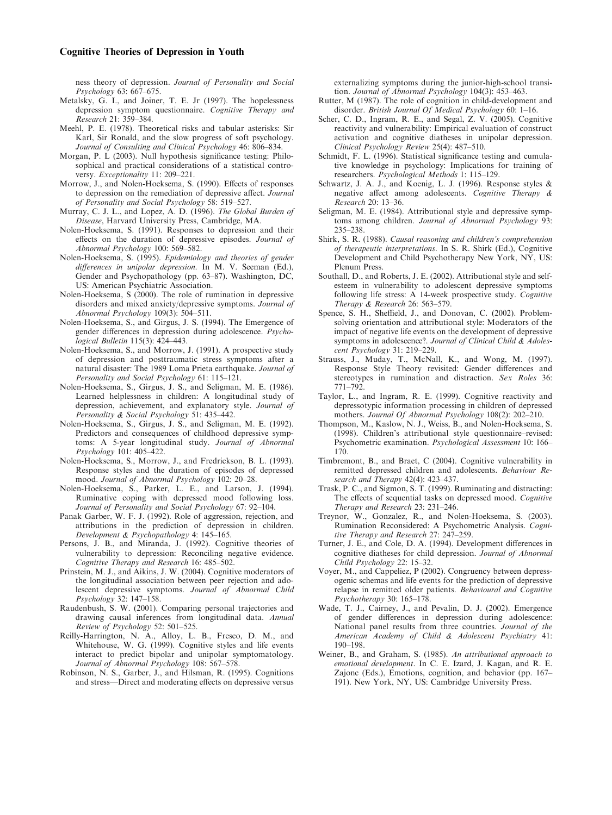ness theory of depression. Journal of Personality and Social Psychology 63: 667–675.

- Metalsky, G. I., and Joiner, T. E. Jr (1997). The hopelessness depression symptom questionnaire. Cognitive Therapy and Research 21: 359–384.
- Meehl, P. E. (1978). Theoretical risks and tabular asterisks: Sir Karl, Sir Ronald, and the slow progress of soft psychology. Journal of Consulting and Clinical Psychology 46: 806–834.
- Morgan, P. L (2003). Null hypothesis significance testing: Philosophical and practical considerations of a statistical controversy. Exceptionality 11: 209–221.
- Morrow, J., and Nolen-Hoeksema, S. (1990). Effects of responses to depression on the remediation of depressive affect. Journal of Personality and Social Psychology 58: 519–527.
- Murray, C. J. L., and Lopez, A. D. (1996). The Global Burden of Disease, Harvard University Press, Cambridge, MA.
- Nolen-Hoeksema, S. (1991). Responses to depression and their effects on the duration of depressive episodes. Journal of Abnormal Psychology 100: 569–582.
- Nolen-Hoeksema, S. (1995). Epidemiology and theories of gender differences in unipolar depression. In M. V. Seeman (Ed.), Gender and Psychopathology (pp. 63–87). Washington, DC, US: American Psychiatric Association.
- Nolen-Hoeksema, S (2000). The role of rumination in depressive disorders and mixed anxiety/depressive symptoms. Journal of Abnormal Psychology 109(3): 504–511.
- Nolen-Hoeksema, S., and Girgus, J. S. (1994). The Emergence of gender differences in depression during adolescence. Psychological Bulletin 115(3): 424–443.
- Nolen-Hoeksema, S., and Morrow, J. (1991). A prospective study of depression and posttraumatic stress symptoms after a natural disaster: The 1989 Loma Prieta earthquake. Journal of Personality and Social Psychology 61: 115–121.
- Nolen-Hoeksema, S., Girgus, J. S., and Seligman, M. E. (1986). Learned helplessness in children: A longitudinal study of depression, achievement, and explanatory style. Journal of Personality & Social Psychology 51: 435-442.
- Nolen-Hoeksema, S., Girgus, J. S., and Seligman, M. E. (1992). Predictors and consequences of childhood depressive symptoms: A 5-year longitudinal study. Journal of Abnormal Psychology 101: 405–422.
- Nolen-Hoeksema, S., Morrow, J., and Fredrickson, B. L. (1993). Response styles and the duration of episodes of depressed mood. Journal of Abnormal Psychology 102: 20–28.
- Nolen-Hoeksema, S., Parker, L. E., and Larson, J. (1994). Ruminative coping with depressed mood following loss. Journal of Personality and Social Psychology 67: 92–104.
- Panak Garber, W. F. J. (1992). Role of aggression, rejection, and attributions in the prediction of depression in children. Development & Psychopathology 4: 145–165.
- Persons, J. B., and Miranda, J. (1992). Cognitive theories of vulnerability to depression: Reconciling negative evidence. Cognitive Therapy and Research 16: 485–502.
- Prinstein, M. J., and Aikins, J. W. (2004). Cognitive moderators of the longitudinal association between peer rejection and adolescent depressive symptoms. Journal of Abnormal Child Psychology 32: 147–158.
- Raudenbush, S. W. (2001). Comparing personal trajectories and drawing causal inferences from longitudinal data. Annual Review of Psychology 52: 501–525.
- Reilly-Harrington, N. A., Alloy, L. B., Fresco, D. M., and Whitehouse, W. G. (1999). Cognitive styles and life events interact to predict bipolar and unipolar symptomatology. Journal of Abnormal Psychology 108: 567–578.
- Robinson, N. S., Garber, J., and Hilsman, R. (1995). Cognitions and stress—Direct and moderating effects on depressive versus

externalizing symptoms during the junior-high-school transition. Journal of Abnormal Psychology 104(3): 453-463.

- Rutter, M (1987). The role of cognition in child-development and disorder. British Journal Of Medical Psychology 60: 1–16.
- Scher, C. D., Ingram, R. E., and Segal, Z. V. (2005). Cognitive reactivity and vulnerability: Empirical evaluation of construct activation and cognitive diatheses in unipolar depression. Clinical Psychology Review 25(4): 487–510.
- Schmidt, F. L. (1996). Statistical significance testing and cumulative knowledge in psychology: Implications for training of researchers. Psychological Methods 1: 115–129.
- Schwartz, J. A. J., and Koenig, L. J. (1996). Response styles & negative affect among adolescents. Cognitive Therapy & Research 20: 13–36.
- Seligman, M. E. (1984). Attributional style and depressive symptoms among children. Journal of Abnormal Psychology 93: 235–238.
- Shirk, S. R. (1988). Causal reasoning and children's comprehension of therapeutic interpretations. In S. R. Shirk (Ed.), Cognitive Development and Child Psychotherapy New York, NY, US: Plenum Press.
- Southall, D., and Roberts, J. E. (2002). Attributional style and selfesteem in vulnerability to adolescent depressive symptoms following life stress: A 14-week prospective study. Cognitive Therapy & Research 26: 563–579.
- Spence, S. H., Sheffield, J., and Donovan, C. (2002). Problemsolving orientation and attributional style: Moderators of the impact of negative life events on the development of depressive symptoms in adolescence?. Journal of Clinical Child & Adolescent Psychology 31: 219–229.
- Strauss, J., Muday, T., McNall, K., and Wong, M. (1997). Response Style Theory revisited: Gender differences and stereotypes in rumination and distraction. Sex Roles 36: 771–792.
- Taylor, L., and Ingram, R. E. (1999). Cognitive reactivity and depressotypic information processing in children of depressed mothers. Journal Of Abnormal Psychology 108(2): 202–210.
- Thompson, M., Kaslow, N. J., Weiss, B., and Nolen-Hoeksema, S. (1998). Children's attributional style questionnaire–revised: Psychometric examination. Psychological Assessment 10: 166– 170.
- Timbremont, B., and Braet, C (2004). Cognitive vulnerability in remitted depressed children and adolescents. Behaviour Research and Therapy 42(4): 423–437.
- Trask, P. C., and Sigmon, S. T. (1999). Ruminating and distracting: The effects of sequential tasks on depressed mood. Cognitive Therapy and Research 23: 231–246.
- Treynor, W., Gonzalez, R., and Nolen-Hoeksema, S. (2003). Rumination Reconsidered: A Psychometric Analysis. Cognitive Therapy and Research 27: 247–259.
- Turner, J. E., and Cole, D. A. (1994). Development differences in cognitive diatheses for child depression. Journal of Abnormal Child Psychology 22: 15–32.
- Voyer, M., and Cappeliez, P (2002). Congruency between depressogenic schemas and life events for the prediction of depressive relapse in remitted older patients. Behavioural and Cognitive Psychotherapy 30: 165–178.
- Wade, T. J., Cairney, J., and Pevalin, D. J. (2002). Emergence of gender differences in depression during adolescence: National panel results from three countries. Journal of the American Academy of Child & Adolescent Psychiatry 41: 190–198.
- Weiner, B., and Graham, S. (1985). An attributional approach to emotional development. In C. E. Izard, J. Kagan, and R. E. Zajonc (Eds.), Emotions, cognition, and behavior (pp. 167– 191). New York, NY, US: Cambridge University Press.